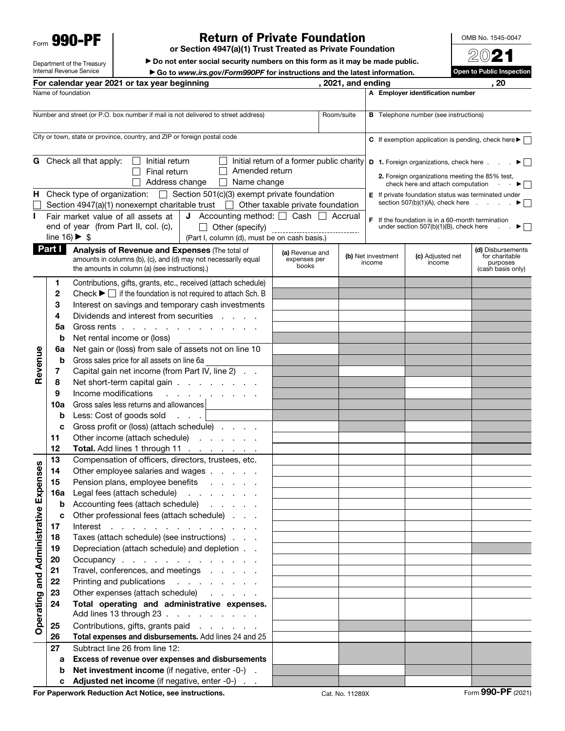Form 990-PF

## Return of Private Foundation

or Section 4947(a)(1) Trust Treated as Private Foundation

▶ Do not enter social security numbers on this form as it may be made public. ▶ Go to *www.irs.gov/Form990PF* for instructions and the latest information.

OMB No. 1545-0047 2021

 $\overline{\phantom{a}}$  to Public  $\overline{\phantom{a}}$ 

Department of the Treasury Internal Revenue Service

|                                  |                                                                          | <b>Proton Marshall Street Intervention in the model of the direct intermediate</b><br>For calendar year 2021 or tax year beginning |                                           | , 2021, and ending |                              |                                                                                                     | , 20                                |
|----------------------------------|--------------------------------------------------------------------------|------------------------------------------------------------------------------------------------------------------------------------|-------------------------------------------|--------------------|------------------------------|-----------------------------------------------------------------------------------------------------|-------------------------------------|
|                                  |                                                                          | Name of foundation                                                                                                                 |                                           |                    |                              | A Employer identification number                                                                    |                                     |
|                                  |                                                                          |                                                                                                                                    |                                           |                    |                              |                                                                                                     |                                     |
|                                  |                                                                          | Number and street (or P.O. box number if mail is not delivered to street address)                                                  |                                           | Room/suite         |                              | <b>B</b> Telephone number (see instructions)                                                        |                                     |
|                                  |                                                                          |                                                                                                                                    |                                           |                    |                              |                                                                                                     |                                     |
|                                  | City or town, state or province, country, and ZIP or foreign postal code |                                                                                                                                    |                                           |                    |                              | C If exemption application is pending, check here $\blacktriangleright$                             |                                     |
|                                  |                                                                          |                                                                                                                                    |                                           |                    |                              |                                                                                                     |                                     |
|                                  |                                                                          | <b>G</b> Check all that apply:<br>Initial return<br>$\perp$<br>$\perp$<br>Amended return<br>$\perp$                                | Initial return of a former public charity |                    |                              | D 1. Foreign organizations, check here                                                              | $\blacktriangleright$ $\mid$ $\mid$ |
|                                  |                                                                          | Final return<br>Address change<br>Name change<br>$\perp$                                                                           |                                           |                    |                              | 2. Foreign organizations meeting the 85% test,                                                      |                                     |
|                                  |                                                                          | <b>H</b> Check type of organization: $\Box$ Section 501(c)(3) exempt private foundation                                            |                                           |                    |                              | check here and attach computation $\blacktriangleright$                                             |                                     |
|                                  |                                                                          | Section 4947(a)(1) nonexempt charitable trust $\Box$ Other taxable private foundation                                              |                                           |                    |                              | E If private foundation status was terminated under<br>section $507(b)(1)(A)$ , check here $\ldots$ |                                     |
| н                                |                                                                          | <b>J</b> Accounting method: $\Box$ Cash $\Box$ Accrual<br>Fair market value of all assets at                                       |                                           |                    |                              |                                                                                                     |                                     |
|                                  |                                                                          | end of year (from Part II, col. (c),<br>$\Box$<br>Other (specify)                                                                  |                                           |                    |                              | F If the foundation is in a 60-month termination<br>under section 507(b)(1)(B), check here          |                                     |
|                                  |                                                                          | line 16) $\blacktriangleright$ \$<br>(Part I, column (d), must be on cash basis.)                                                  | --------------------------------          |                    |                              |                                                                                                     |                                     |
|                                  | Part I                                                                   | Analysis of Revenue and Expenses (The total of                                                                                     |                                           |                    |                              |                                                                                                     | (d) Disbursements                   |
|                                  |                                                                          | amounts in columns (b), (c), and (d) may not necessarily equal                                                                     | (a) Revenue and<br>expenses per           |                    | (b) Net investment<br>income | (c) Adjusted net<br>income                                                                          | for charitable<br>purposes          |
|                                  |                                                                          | the amounts in column (a) (see instructions).)                                                                                     | books                                     |                    |                              |                                                                                                     | (cash basis only)                   |
|                                  | 1                                                                        | Contributions, gifts, grants, etc., received (attach schedule)                                                                     |                                           |                    |                              |                                                                                                     |                                     |
|                                  | $\mathbf{2}$                                                             | Check $\blacktriangleright \Box$ if the foundation is not required to attach Sch. B                                                |                                           |                    |                              |                                                                                                     |                                     |
|                                  | 3                                                                        | Interest on savings and temporary cash investments                                                                                 |                                           |                    |                              |                                                                                                     |                                     |
|                                  | 4                                                                        | Dividends and interest from securities                                                                                             |                                           |                    |                              |                                                                                                     |                                     |
|                                  | 5a                                                                       | Gross rents                                                                                                                        |                                           |                    |                              |                                                                                                     |                                     |
|                                  | b                                                                        | Net rental income or (loss)                                                                                                        |                                           |                    |                              |                                                                                                     |                                     |
|                                  | 6a                                                                       | Net gain or (loss) from sale of assets not on line 10                                                                              |                                           |                    |                              |                                                                                                     |                                     |
|                                  | b                                                                        | Gross sales price for all assets on line 6a                                                                                        |                                           |                    |                              |                                                                                                     |                                     |
| Revenue                          | 7                                                                        | Capital gain net income (from Part IV, line 2)                                                                                     |                                           |                    |                              |                                                                                                     |                                     |
|                                  | 8                                                                        | Net short-term capital gain                                                                                                        |                                           |                    |                              |                                                                                                     |                                     |
|                                  | 9                                                                        | Income modifications<br>the contract of the contract of                                                                            |                                           |                    |                              |                                                                                                     |                                     |
|                                  | 10a                                                                      | Gross sales less returns and allowances                                                                                            |                                           |                    |                              |                                                                                                     |                                     |
|                                  | b                                                                        | Less: Cost of goods sold                                                                                                           |                                           |                    |                              |                                                                                                     |                                     |
|                                  | c                                                                        | Gross profit or (loss) (attach schedule)                                                                                           |                                           |                    |                              |                                                                                                     |                                     |
|                                  | 11                                                                       | Other income (attach schedule)                                                                                                     |                                           |                    |                              |                                                                                                     |                                     |
|                                  | 12                                                                       | Total. Add lines 1 through 11                                                                                                      |                                           |                    |                              |                                                                                                     |                                     |
|                                  | 13                                                                       | Compensation of officers, directors, trustees, etc.                                                                                |                                           |                    |                              |                                                                                                     |                                     |
| enses                            | 14                                                                       | Other employee salaries and wages                                                                                                  |                                           |                    |                              |                                                                                                     |                                     |
|                                  | 15                                                                       | Pension plans, employee benefits                                                                                                   |                                           |                    |                              |                                                                                                     |                                     |
|                                  | 16a                                                                      | Legal fees (attach schedule)<br>the contract of the contract of                                                                    |                                           |                    |                              |                                                                                                     |                                     |
|                                  | b                                                                        | Accounting fees (attach schedule)                                                                                                  |                                           |                    |                              |                                                                                                     |                                     |
|                                  | c                                                                        | Other professional fees (attach schedule)                                                                                          |                                           |                    |                              |                                                                                                     |                                     |
|                                  | 17                                                                       | Interest                                                                                                                           |                                           |                    |                              |                                                                                                     |                                     |
|                                  | 18                                                                       | Taxes (attach schedule) (see instructions)                                                                                         |                                           |                    |                              |                                                                                                     |                                     |
|                                  | 19                                                                       | Depreciation (attach schedule) and depletion<br>Occupancy                                                                          |                                           |                    |                              |                                                                                                     |                                     |
|                                  | 20<br>21                                                                 | Travel, conferences, and meetings                                                                                                  |                                           |                    |                              |                                                                                                     |                                     |
|                                  | 22                                                                       | Printing and publications<br>and the contract of the con-                                                                          |                                           |                    |                              |                                                                                                     |                                     |
|                                  | 23                                                                       | Other expenses (attach schedule)                                                                                                   |                                           |                    |                              |                                                                                                     |                                     |
|                                  | 24                                                                       | Total operating and administrative expenses.                                                                                       |                                           |                    |                              |                                                                                                     |                                     |
| Operating and Administrative Exp |                                                                          | Add lines 13 through 23                                                                                                            |                                           |                    |                              |                                                                                                     |                                     |
|                                  | 25                                                                       | Contributions, gifts, grants paid                                                                                                  |                                           |                    |                              |                                                                                                     |                                     |
|                                  | 26                                                                       | Total expenses and disbursements. Add lines 24 and 25                                                                              |                                           |                    |                              |                                                                                                     |                                     |
|                                  | 27                                                                       | Subtract line 26 from line 12:                                                                                                     |                                           |                    |                              |                                                                                                     |                                     |
|                                  | a                                                                        | Excess of revenue over expenses and disbursements                                                                                  |                                           |                    |                              |                                                                                                     |                                     |
|                                  | b                                                                        | Net investment income (if negative, enter -0-).                                                                                    |                                           |                    |                              |                                                                                                     |                                     |
|                                  | с                                                                        | <b>Adjusted net income</b> (if negative, enter -0-)                                                                                |                                           |                    |                              |                                                                                                     |                                     |
|                                  |                                                                          | For Paperwork Reduction Act Notice, see instructions.                                                                              |                                           | Cat. No. 11289X    |                              |                                                                                                     | Form 990-PF (2021)                  |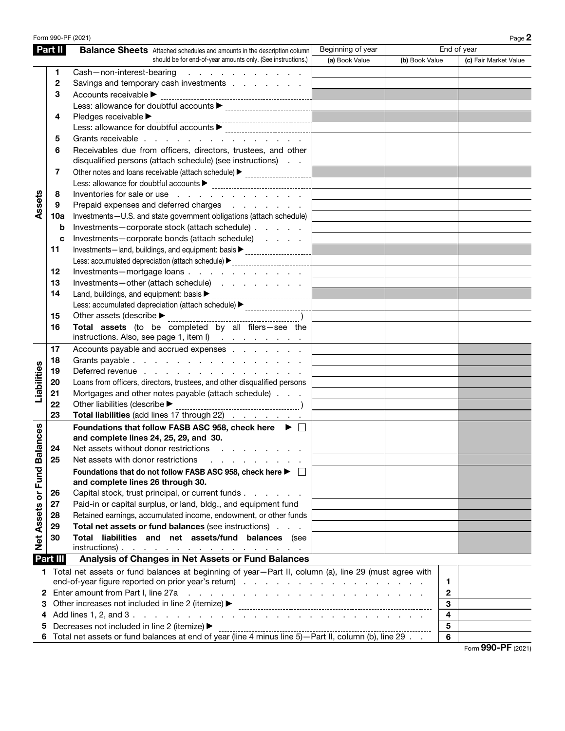|                                                                | Form 990-PF (2021) |                                                                                                                                                                                                                                |                                  |                |              | Page 2                |  |
|----------------------------------------------------------------|--------------------|--------------------------------------------------------------------------------------------------------------------------------------------------------------------------------------------------------------------------------|----------------------------------|----------------|--------------|-----------------------|--|
|                                                                | Part II            | <b>Balance Sheets</b> Attached schedules and amounts in the description column                                                                                                                                                 | Beginning of year<br>End of year |                |              |                       |  |
|                                                                |                    | should be for end-of-year amounts only. (See instructions.)                                                                                                                                                                    | (a) Book Value                   | (b) Book Value |              | (c) Fair Market Value |  |
|                                                                | 1                  | Cash-non-interest-bearing<br>the contract of the contract of the                                                                                                                                                               |                                  |                |              |                       |  |
|                                                                | $\mathbf{2}$       | Savings and temporary cash investments                                                                                                                                                                                         |                                  |                |              |                       |  |
|                                                                | 3                  | Accounts receivable ▶                                                                                                                                                                                                          |                                  |                |              |                       |  |
|                                                                |                    | Less: allowance for doubtful accounts > contain contained all of the state of the state of the state of the state of the state of the state of the state of the state of the state of the state of the state of the state of t |                                  |                |              |                       |  |
|                                                                | 4                  | Pledges receivable ▶                                                                                                                                                                                                           |                                  |                |              |                       |  |
|                                                                |                    | Less: allowance for doubtful accounts > contain the contract of the state of the state of the state of the state of the state of the state of the state of the state of the state of the state of the state of the state of th |                                  |                |              |                       |  |
|                                                                | 5                  | Grants receivable                                                                                                                                                                                                              |                                  |                |              |                       |  |
|                                                                | 6                  | Receivables due from officers, directors, trustees, and other<br>disqualified persons (attach schedule) (see instructions)                                                                                                     |                                  |                |              |                       |  |
|                                                                | 7                  | Other notes and loans receivable (attach schedule) > ___________________________                                                                                                                                               |                                  |                |              |                       |  |
|                                                                |                    |                                                                                                                                                                                                                                |                                  |                |              |                       |  |
|                                                                | 8                  | Inventories for sale or use                                                                                                                                                                                                    |                                  |                |              |                       |  |
| Assets                                                         | 9                  | Prepaid expenses and deferred charges                                                                                                                                                                                          |                                  |                |              |                       |  |
|                                                                | 10a                | Investments-U.S. and state government obligations (attach schedule)                                                                                                                                                            |                                  |                |              |                       |  |
|                                                                | b                  | Investments-corporate stock (attach schedule)                                                                                                                                                                                  |                                  |                |              |                       |  |
|                                                                | c                  | Investments-corporate bonds (attach schedule)                                                                                                                                                                                  |                                  |                |              |                       |  |
|                                                                | 11                 | Investments-land, buildings, and equipment: basis > ____________________________                                                                                                                                               |                                  |                |              |                       |  |
|                                                                |                    | Less: accumulated depreciation (attach schedule) > _____________________________                                                                                                                                               |                                  |                |              |                       |  |
|                                                                | 12                 | Investments-mortgage loans                                                                                                                                                                                                     |                                  |                |              |                       |  |
|                                                                | 13                 | Investments-other (attach schedule)                                                                                                                                                                                            |                                  |                |              |                       |  |
|                                                                | 14                 | Land, buildings, and equipment: basis<br><br><br><br><br><br><br><br><br><br><br><br><br><br><br><br>                                                                                                                          |                                  |                |              |                       |  |
|                                                                |                    | Less: accumulated depreciation (attach schedule) > _______________________                                                                                                                                                     |                                  |                |              |                       |  |
|                                                                | 15                 | Other assets (describe $\blacktriangleright$                                                                                                                                                                                   |                                  |                |              |                       |  |
|                                                                | 16                 | Total assets (to be completed by all filers-see the<br>instructions. Also, see page 1, item $I$ )                                                                                                                              |                                  |                |              |                       |  |
|                                                                | 17                 | Accounts payable and accrued expenses                                                                                                                                                                                          |                                  |                |              |                       |  |
|                                                                | 18                 | Grants payable                                                                                                                                                                                                                 |                                  |                |              |                       |  |
| Liabilities                                                    | 19                 | Deferred revenue                                                                                                                                                                                                               |                                  |                |              |                       |  |
|                                                                | 20                 | Loans from officers, directors, trustees, and other disqualified persons                                                                                                                                                       |                                  |                |              |                       |  |
|                                                                | 21                 | Mortgages and other notes payable (attach schedule)                                                                                                                                                                            |                                  |                |              |                       |  |
|                                                                | 22                 | Other liabilities (describe $\blacktriangleright$                                                                                                                                                                              |                                  |                |              |                       |  |
|                                                                | 23                 | Total liabilities (add lines 17 through 22)                                                                                                                                                                                    |                                  |                |              |                       |  |
| Net Assets or Fund Balances                                    | 24                 | Foundations that follow FASB ASC 958, check here ▶ □<br>and complete lines 24, 25, 29, and 30.<br>Net assets without donor restrictions                                                                                        |                                  |                |              |                       |  |
|                                                                | 25                 | Net assets with donor restrictions                                                                                                                                                                                             |                                  |                |              |                       |  |
|                                                                |                    | Foundations that do not follow FASB ASC 958, check here ▶ □<br>and complete lines 26 through 30.                                                                                                                               |                                  |                |              |                       |  |
|                                                                | 26                 | Capital stock, trust principal, or current funds                                                                                                                                                                               |                                  |                |              |                       |  |
|                                                                | 27                 | Paid-in or capital surplus, or land, bldg., and equipment fund                                                                                                                                                                 |                                  |                |              |                       |  |
|                                                                | 28                 | Retained earnings, accumulated income, endowment, or other funds                                                                                                                                                               |                                  |                |              |                       |  |
|                                                                | 29                 | Total net assets or fund balances (see instructions)                                                                                                                                                                           |                                  |                |              |                       |  |
|                                                                | 30                 | Total liabilities and net assets/fund balances (see                                                                                                                                                                            |                                  |                |              |                       |  |
|                                                                |                    | $instructions)$ .                                                                                                                                                                                                              |                                  |                |              |                       |  |
| Part III<br>Analysis of Changes in Net Assets or Fund Balances |                    |                                                                                                                                                                                                                                |                                  |                |              |                       |  |
|                                                                |                    | 1 Total net assets or fund balances at beginning of year-Part II, column (a), line 29 (must agree with                                                                                                                         |                                  |                | 1            |                       |  |
|                                                                |                    | 2 Enter amount from Part I, line 27a<br>and the contract of the contract of the contract of the contract of the contract of                                                                                                    |                                  |                | $\mathbf{2}$ |                       |  |
| 3                                                              |                    | Other increases not included in line 2 (itemize) ▶                                                                                                                                                                             |                                  |                | 3            |                       |  |
| 4                                                              |                    |                                                                                                                                                                                                                                |                                  |                | 4            |                       |  |
| 5                                                              |                    | Decreases not included in line 2 (itemize) ▶                                                                                                                                                                                   |                                  |                | 5            |                       |  |
|                                                                |                    |                                                                                                                                                                                                                                |                                  |                | 6            |                       |  |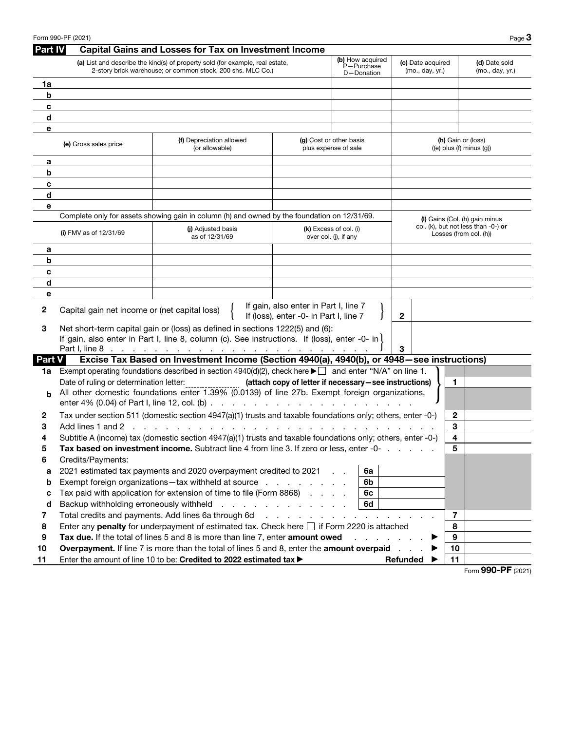|         | Form 990-PF (2021)                                                                                                                           |                                                                                                                                                                                                         |                                                                                 |                                                 |                | Page $3$                                                         |
|---------|----------------------------------------------------------------------------------------------------------------------------------------------|---------------------------------------------------------------------------------------------------------------------------------------------------------------------------------------------------------|---------------------------------------------------------------------------------|-------------------------------------------------|----------------|------------------------------------------------------------------|
| Part IV |                                                                                                                                              | <b>Capital Gains and Losses for Tax on Investment Income</b>                                                                                                                                            |                                                                                 |                                                 |                |                                                                  |
|         | (a) List and describe the kind(s) of property sold (for example, real estate,<br>2-story brick warehouse; or common stock, 200 shs. MLC Co.) | (c) Date acquired<br>(mo., day, yr.)                                                                                                                                                                    | (d) Date sold<br>(mo., day, yr.)                                                |                                                 |                |                                                                  |
| 1a      |                                                                                                                                              |                                                                                                                                                                                                         |                                                                                 |                                                 |                |                                                                  |
| b       |                                                                                                                                              |                                                                                                                                                                                                         |                                                                                 |                                                 |                |                                                                  |
| c       |                                                                                                                                              |                                                                                                                                                                                                         |                                                                                 |                                                 |                |                                                                  |
| d       |                                                                                                                                              |                                                                                                                                                                                                         |                                                                                 |                                                 |                |                                                                  |
| е       |                                                                                                                                              |                                                                                                                                                                                                         |                                                                                 |                                                 |                |                                                                  |
|         | (e) Gross sales price                                                                                                                        | (f) Depreciation allowed<br>(or allowable)                                                                                                                                                              |                                                                                 | (g) Cost or other basis<br>plus expense of sale |                | (h) Gain or (loss)<br>$((e)$ plus $(f)$ minus $(g)$ )            |
| а       |                                                                                                                                              |                                                                                                                                                                                                         |                                                                                 |                                                 |                |                                                                  |
| b       |                                                                                                                                              |                                                                                                                                                                                                         |                                                                                 |                                                 |                |                                                                  |
| c       |                                                                                                                                              |                                                                                                                                                                                                         |                                                                                 |                                                 |                |                                                                  |
| d       |                                                                                                                                              |                                                                                                                                                                                                         |                                                                                 |                                                 |                |                                                                  |
| е       |                                                                                                                                              |                                                                                                                                                                                                         |                                                                                 |                                                 |                |                                                                  |
|         |                                                                                                                                              | Complete only for assets showing gain in column (h) and owned by the foundation on 12/31/69.                                                                                                            |                                                                                 |                                                 |                | (I) Gains (Col. (h) gain minus                                   |
|         | (i) FMV as of $12/31/69$                                                                                                                     | (i) Adjusted basis<br>as of 12/31/69                                                                                                                                                                    |                                                                                 | (k) Excess of col. (i)<br>over col. (i), if any |                | col. (k), but not less than $-0$ -) or<br>Losses (from col. (h)) |
| а       |                                                                                                                                              |                                                                                                                                                                                                         |                                                                                 |                                                 |                |                                                                  |
| b       |                                                                                                                                              |                                                                                                                                                                                                         |                                                                                 |                                                 |                |                                                                  |
| c       |                                                                                                                                              |                                                                                                                                                                                                         |                                                                                 |                                                 |                |                                                                  |
| d       |                                                                                                                                              |                                                                                                                                                                                                         |                                                                                 |                                                 |                |                                                                  |
| е       |                                                                                                                                              |                                                                                                                                                                                                         |                                                                                 |                                                 |                |                                                                  |
| 2       | Capital gain net income or (net capital loss)                                                                                                |                                                                                                                                                                                                         | If gain, also enter in Part I, line 7<br>If (loss), enter -0- in Part I, line 7 |                                                 | $\mathbf{2}$   |                                                                  |
| 3       |                                                                                                                                              | Net short-term capital gain or (loss) as defined in sections 1222(5) and (6):                                                                                                                           |                                                                                 |                                                 |                |                                                                  |
|         |                                                                                                                                              | If gain, also enter in Part I, line 8, column (c). See instructions. If (loss), enter -0- in (                                                                                                          |                                                                                 |                                                 |                |                                                                  |
|         |                                                                                                                                              |                                                                                                                                                                                                         |                                                                                 |                                                 | 3              |                                                                  |
| Part V  |                                                                                                                                              | Excise Tax Based on Investment Income (Section 4940(a), 4940(b), or 4948 - see instructions)                                                                                                            |                                                                                 |                                                 |                |                                                                  |
| 1a      |                                                                                                                                              | Exempt operating foundations described in section 4940(d)(2), check here $\blacktriangleright \Box$ and enter "N/A" on line 1.                                                                          |                                                                                 |                                                 |                |                                                                  |
|         | Date of ruling or determination letter:                                                                                                      |                                                                                                                                                                                                         | (attach copy of letter if necessary-see instructions)                           |                                                 | 1              |                                                                  |
| h       |                                                                                                                                              | All other domestic foundations enter 1.39% (0.0139) of line 27b. Exempt foreign organizations,                                                                                                          |                                                                                 |                                                 |                |                                                                  |
|         |                                                                                                                                              |                                                                                                                                                                                                         |                                                                                 |                                                 |                |                                                                  |
| 2       |                                                                                                                                              | Tax under section 511 (domestic section 4947(a)(1) trusts and taxable foundations only; others, enter -0-)                                                                                              |                                                                                 |                                                 | $\mathbf{2}$   |                                                                  |
| 3       | Add lines 1 and 2<br><b>Contractor</b>                                                                                                       |                                                                                                                                                                                                         |                                                                                 |                                                 | 3              |                                                                  |
| 4       |                                                                                                                                              | Subtitle A (income) tax (domestic section 4947(a)(1) trusts and taxable foundations only; others, enter -0-)<br>Tax based on investment income. Subtract line 4 from line 3. If zero or less, enter -0- |                                                                                 |                                                 | 4<br>5         |                                                                  |
| ≎<br>6  | Credits/Payments:                                                                                                                            |                                                                                                                                                                                                         |                                                                                 |                                                 |                |                                                                  |
|         |                                                                                                                                              | 2021 estimated tax payments and 2020 overpayment credited to 2021                                                                                                                                       |                                                                                 | 6a                                              |                |                                                                  |
| a<br>b  |                                                                                                                                              | Exempt foreign organizations-tax withheld at source                                                                                                                                                     |                                                                                 | 6b                                              |                |                                                                  |
| c       |                                                                                                                                              | Tax paid with application for extension of time to file (Form 8868)                                                                                                                                     |                                                                                 | 6c                                              |                |                                                                  |
| d       | Backup withholding erroneously withheld                                                                                                      |                                                                                                                                                                                                         | and the contract of the contract of                                             | 6d                                              |                |                                                                  |
| 7       |                                                                                                                                              | Total credits and payments. Add lines 6a through 6d                                                                                                                                                     | the contract of the contract of                                                 | and the control of                              | $\overline{7}$ |                                                                  |
| 8       |                                                                                                                                              | Enter any penalty for underpayment of estimated tax. Check here $\Box$ if Form 2220 is attached                                                                                                         |                                                                                 |                                                 | 8              |                                                                  |
| 9       |                                                                                                                                              | Tax due. If the total of lines 5 and 8 is more than line 7, enter amount owed                                                                                                                           |                                                                                 |                                                 | 9              |                                                                  |
| 10      |                                                                                                                                              | Overpayment. If line 7 is more than the total of lines 5 and 8, enter the amount overpaid                                                                                                               |                                                                                 |                                                 | 10             |                                                                  |
| 11      |                                                                                                                                              | Enter the amount of line 10 to be: Credited to 2022 estimated tax >                                                                                                                                     |                                                                                 |                                                 | 11<br>Refunded |                                                                  |
|         |                                                                                                                                              |                                                                                                                                                                                                         |                                                                                 |                                                 |                | <br>--                                                           |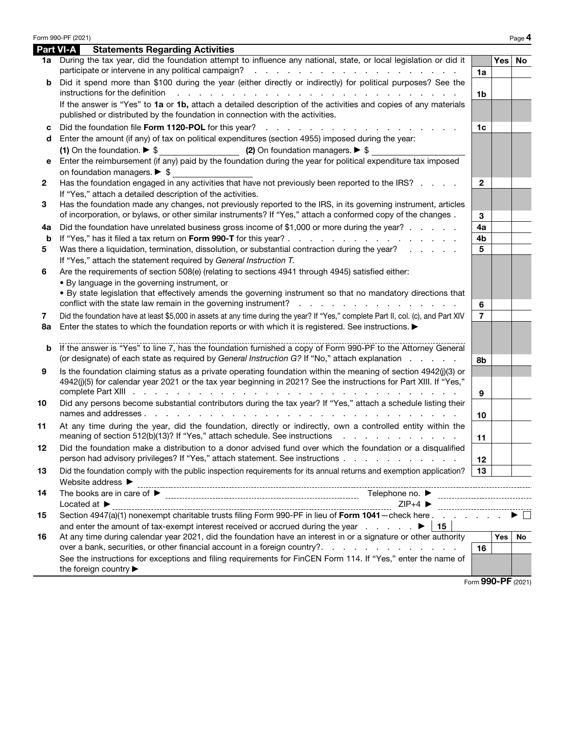|              | Form 990-PF (2021)                                                                                                                                                                                                                            |                |     | Page 4             |
|--------------|-----------------------------------------------------------------------------------------------------------------------------------------------------------------------------------------------------------------------------------------------|----------------|-----|--------------------|
|              | <b>Part VI-A</b><br><b>Statements Regarding Activities</b>                                                                                                                                                                                    |                |     |                    |
|              | 1a During the tax year, did the foundation attempt to influence any national, state, or local legislation or did it<br>participate or intervene in any political campaign?<br>and a series of the contract of the contract of the contract of | 1a             | Yes | No                 |
| b            | Did it spend more than \$100 during the year (either directly or indirectly) for political purposes? See the<br>instructions for the definition<br>والمتعاون والمتعاون والمتعاون والمتعاونة والمتعاونة والمتعاونة والمتعاونة والمتعاونة       |                |     |                    |
|              | If the answer is "Yes" to 1a or 1b, attach a detailed description of the activities and copies of any materials<br>published or distributed by the foundation in connection with the activities.                                              | 1 <sub>b</sub> |     |                    |
| c            | Did the foundation file Form 1120-POL for this year?                                                                                                                                                                                          | 1 <sub>c</sub> |     |                    |
| d            | Enter the amount (if any) of tax on political expenditures (section 4955) imposed during the year:                                                                                                                                            |                |     |                    |
|              | (2) On foundation managers. ▶ \$<br>(1) On the foundation. $\triangleright$ \$                                                                                                                                                                |                |     |                    |
| е            | Enter the reimbursement (if any) paid by the foundation during the year for political expenditure tax imposed                                                                                                                                 |                |     |                    |
|              | on foundation managers. $\triangleright$ \$                                                                                                                                                                                                   |                |     |                    |
| $\mathbf{2}$ | Has the foundation engaged in any activities that have not previously been reported to the IRS?                                                                                                                                               | $\mathbf{2}$   |     |                    |
|              | If "Yes," attach a detailed description of the activities.                                                                                                                                                                                    |                |     |                    |
| 3            | Has the foundation made any changes, not previously reported to the IRS, in its governing instrument, articles                                                                                                                                |                |     |                    |
|              | of incorporation, or bylaws, or other similar instruments? If "Yes," attach a conformed copy of the changes.                                                                                                                                  | 3              |     |                    |
| 4а           | Did the foundation have unrelated business gross income of \$1,000 or more during the year?                                                                                                                                                   | 4a             |     |                    |
| b            |                                                                                                                                                                                                                                               | 4b             |     |                    |
| 5            | Was there a liquidation, termination, dissolution, or substantial contraction during the year?                                                                                                                                                | 5              |     |                    |
|              | If "Yes," attach the statement required by General Instruction T.                                                                                                                                                                             |                |     |                    |
| 6            | Are the requirements of section 508(e) (relating to sections 4941 through 4945) satisfied either:                                                                                                                                             |                |     |                    |
|              | • By language in the governing instrument, or                                                                                                                                                                                                 |                |     |                    |
|              | . By state legislation that effectively amends the governing instrument so that no mandatory directions that                                                                                                                                  |                |     |                    |
|              | conflict with the state law remain in the governing instrument? $\ldots$ , $\ldots$ , $\ldots$ , $\ldots$ , $\ldots$                                                                                                                          | 6              |     |                    |
| 7            | Did the foundation have at least \$5,000 in assets at any time during the year? If "Yes," complete Part II, col. (c), and Part XIV                                                                                                            | $\overline{7}$ |     |                    |
| 8a           | Enter the states to which the foundation reports or with which it is registered. See instructions. ▶                                                                                                                                          |                |     |                    |
| b            | If the answer is "Yes" to line 7, has the foundation furnished a copy of Form 990-PF to the Attorney General                                                                                                                                  |                |     |                    |
|              | (or designate) of each state as required by General Instruction G? If "No," attach explanation                                                                                                                                                | 8b             |     |                    |
| 9            | Is the foundation claiming status as a private operating foundation within the meaning of section 4942(j)(3) or                                                                                                                               |                |     |                    |
|              | 4942(j)(5) for calendar year 2021 or the tax year beginning in 2021? See the instructions for Part XIII. If "Yes,"                                                                                                                            |                |     |                    |
|              |                                                                                                                                                                                                                                               | 9              |     |                    |
| 10           | Did any persons become substantial contributors during the tax year? If "Yes," attach a schedule listing their                                                                                                                                |                |     |                    |
|              |                                                                                                                                                                                                                                               | 10             |     |                    |
| 11           | At any time during the year, did the foundation, directly or indirectly, own a controlled entity within the                                                                                                                                   |                |     |                    |
|              | meaning of section 512(b)(13)? If "Yes," attach schedule. See instructions                                                                                                                                                                    | 11             |     |                    |
|              | Did the foundation make a distribution to a donor advised fund over which the foundation or a disqualified                                                                                                                                    |                |     |                    |
|              | person had advisory privileges? If "Yes," attach statement. See instructions                                                                                                                                                                  | 12             |     |                    |
| 13           | Did the foundation comply with the public inspection requirements for its annual returns and exemption application?                                                                                                                           | 13             |     |                    |
|              | Website address ▶                                                                                                                                                                                                                             |                |     |                    |
| 14           | and a concentration of the state of the state of the state of the state of the state of the state of the state                                                                                                                                |                |     |                    |
|              | Located at $\blacktriangleright$<br>$ZIP+4$<br>-------------------------                                                                                                                                                                      |                |     |                    |
| 15           | Section 4947(a)(1) nonexempt charitable trusts filing Form 990-PF in lieu of Form 1041-check here                                                                                                                                             |                |     |                    |
|              | and enter the amount of tax-exempt interest received or accrued during the year<br>15                                                                                                                                                         |                |     |                    |
| 16           | At any time during calendar year 2021, did the foundation have an interest in or a signature or other authority                                                                                                                               |                | Yes | <b>No</b>          |
|              | over a bank, securities, or other financial account in a foreign country?                                                                                                                                                                     | 16             |     |                    |
|              | See the instructions for exceptions and filing requirements for FinCEN Form 114. If "Yes," enter the name of                                                                                                                                  |                |     |                    |
|              | the foreign country                                                                                                                                                                                                                           |                |     |                    |
|              |                                                                                                                                                                                                                                               |                |     | Form 990-PF (2021) |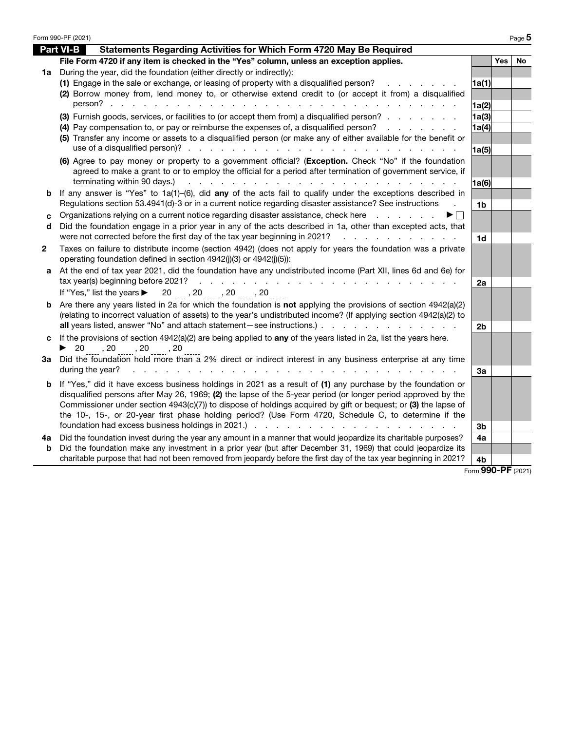|    | Form 990-PF (2021)                                                                                                                                                                                                                   |                          |            | Page 5    |
|----|--------------------------------------------------------------------------------------------------------------------------------------------------------------------------------------------------------------------------------------|--------------------------|------------|-----------|
|    | <b>Part VI-B</b><br>Statements Regarding Activities for Which Form 4720 May Be Required                                                                                                                                              |                          |            |           |
|    | File Form 4720 if any item is checked in the "Yes" column, unless an exception applies.                                                                                                                                              |                          | <b>Yes</b> | <b>No</b> |
| 1a | During the year, did the foundation (either directly or indirectly):                                                                                                                                                                 |                          |            |           |
|    | (1) Engage in the sale or exchange, or leasing of property with a disqualified person?                                                                                                                                               | 1a(1)                    |            |           |
|    | (2) Borrow money from, lend money to, or otherwise extend credit to (or accept it from) a disqualified                                                                                                                               |                          |            |           |
|    | person?                                                                                                                                                                                                                              | 1a(2)                    |            |           |
|    | (3) Furnish goods, services, or facilities to (or accept them from) a disqualified person?                                                                                                                                           | 1a(3)                    |            |           |
|    | (4) Pay compensation to, or pay or reimburse the expenses of, a disqualified person?<br>and the state of the state of                                                                                                                | 1a(4)                    |            |           |
|    | (5) Transfer any income or assets to a disqualified person (or make any of either available for the benefit or                                                                                                                       |                          |            |           |
|    |                                                                                                                                                                                                                                      | 1a(5)                    |            |           |
|    | (6) Agree to pay money or property to a government official? (Exception. Check "No" if the foundation<br>agreed to make a grant to or to employ the official for a period after termination of government service, if                |                          |            |           |
|    | terminating within 90 days.)                                                                                                                                                                                                         | 1a(6)                    |            |           |
| b  | If any answer is "Yes" to $1a(1)$ -(6), did any of the acts fail to qualify under the exceptions described in                                                                                                                        |                          |            |           |
|    | Regulations section 53.4941(d)-3 or in a current notice regarding disaster assistance? See instructions                                                                                                                              | 1b                       |            |           |
| C  | Organizations relying on a current notice regarding disaster assistance, check here                                                                                                                                                  |                          |            |           |
| d  | Did the foundation engage in a prior year in any of the acts described in 1a, other than excepted acts, that                                                                                                                         |                          |            |           |
|    | were not corrected before the first day of the tax year beginning in 2021?<br>and a straightful contract and a                                                                                                                       | 1 <sub>d</sub>           |            |           |
| 2  | Taxes on failure to distribute income (section 4942) (does not apply for years the foundation was a private<br>operating foundation defined in section 4942(j)(3) or 4942(j)(5)):                                                    |                          |            |           |
| a  | At the end of tax year 2021, did the foundation have any undistributed income (Part XII, lines 6d and 6e) for                                                                                                                        |                          |            |           |
|    | tax year(s) beginning before 2021?<br>$\mathcal{L}^{\text{max}}$<br>the contract of the contract of the contract of the contract of the contract of the contract of the contract of                                                  | 2a                       |            |           |
|    | If "Yes," list the years ▶ 20, 20, 20, 20, 20                                                                                                                                                                                        |                          |            |           |
| b  | Are there any years listed in 2a for which the foundation is not applying the provisions of section 4942(a)(2)<br>(relating to incorrect valuation of assets) to the year's undistributed income? (If applying section 4942(a)(2) to |                          |            |           |
|    | all years listed, answer "No" and attach statement-see instructions.)                                                                                                                                                                | 2 <sub>b</sub>           |            |           |
| C  | If the provisions of section $4942(a)(2)$ are being applied to any of the years listed in 2a, list the years here.<br>▶ 20 , 20 , 20 , 20 , 20 , 20                                                                                  |                          |            |           |
| За | Did the foundation hold more than a 2% direct or indirect interest in any business enterprise at any time                                                                                                                            |                          |            |           |
|    | during the year?                                                                                                                                                                                                                     | За                       |            |           |
| b  | If "Yes," did it have excess business holdings in 2021 as a result of (1) any purchase by the foundation or                                                                                                                          |                          |            |           |
|    | disqualified persons after May 26, 1969; (2) the lapse of the 5-year period (or longer period approved by the                                                                                                                        |                          |            |           |
|    | Commissioner under section 4943(c)(7)) to dispose of holdings acquired by gift or bequest; or (3) the lapse of                                                                                                                       |                          |            |           |
|    | the 10-, 15-, or 20-year first phase holding period? (Use Form 4720, Schedule C, to determine if the<br>foundation had excess business holdings in 2021.)                                                                            |                          |            |           |
|    |                                                                                                                                                                                                                                      | 3b                       |            |           |
| 4a | Did the foundation invest during the year any amount in a manner that would jeopardize its charitable purposes?                                                                                                                      | 4a                       |            |           |
| b  | Did the foundation make any investment in a prior year (but after December 31, 1969) that could jeopardize its<br>charitable purpose that had not been removed from jeopardy before the first day of the tax year beginning in 2021? |                          |            |           |
|    |                                                                                                                                                                                                                                      | 4b<br>Form 990-PF (2021) |            |           |
|    |                                                                                                                                                                                                                                      |                          |            |           |

| ۹<br>×<br>×<br>ł |  |
|------------------|--|
|------------------|--|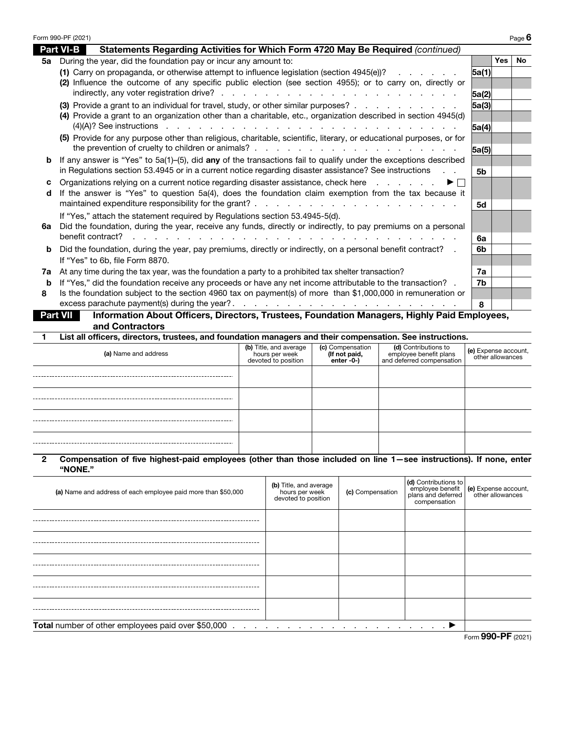|                 | Form 990-PF (2021)<br>Page 6                                                                                                                                 |                |            |           |  |  |
|-----------------|--------------------------------------------------------------------------------------------------------------------------------------------------------------|----------------|------------|-----------|--|--|
|                 | <b>Part VI-B</b><br>Statements Regarding Activities for Which Form 4720 May Be Required (continued)                                                          |                |            |           |  |  |
| 5а              | During the year, did the foundation pay or incur any amount to:                                                                                              |                | <b>Yes</b> | <b>No</b> |  |  |
|                 | (1) Carry on propaganda, or otherwise attempt to influence legislation (section 4945(e))?                                                                    | 5a(1)          |            |           |  |  |
|                 | (2) Influence the outcome of any specific public election (see section 4955); or to carry on, directly or                                                    |                |            |           |  |  |
|                 |                                                                                                                                                              | 5a(2)          |            |           |  |  |
|                 | (3) Provide a grant to an individual for travel, study, or other similar purposes?                                                                           | 5a(3)          |            |           |  |  |
|                 | (4) Provide a grant to an organization other than a charitable, etc., organization described in section 4945(d)                                              |                |            |           |  |  |
|                 | $(4)(A)?$ See instructions                                                                                                                                   | 5a(4)          |            |           |  |  |
|                 | (5) Provide for any purpose other than religious, charitable, scientific, literary, or educational purposes, or for                                          |                |            |           |  |  |
|                 |                                                                                                                                                              | 5a(5)          |            |           |  |  |
| b               | If any answer is "Yes" to 5a(1)-(5), did any of the transactions fail to qualify under the exceptions described                                              |                |            |           |  |  |
|                 | in Regulations section 53.4945 or in a current notice regarding disaster assistance? See instructions                                                        | 5 <sub>b</sub> |            |           |  |  |
| c               | Organizations relying on a current notice regarding disaster assistance, check here<br>and a state of the state of<br>▶ │ │                                  |                |            |           |  |  |
| d               | If the answer is "Yes" to question 5a(4), does the foundation claim exemption from the tax because it                                                        |                |            |           |  |  |
|                 | maintained expenditure responsibility for the grant?.                                                                                                        | 5d             |            |           |  |  |
|                 | If "Yes," attach the statement required by Regulations section 53.4945-5(d).                                                                                 |                |            |           |  |  |
| 6а              | Did the foundation, during the year, receive any funds, directly or indirectly, to pay premiums on a personal                                                |                |            |           |  |  |
|                 | benefit contract?                                                                                                                                            | 6а             |            |           |  |  |
| b               | Did the foundation, during the year, pay premiums, directly or indirectly, on a personal benefit contract?                                                   | 6b             |            |           |  |  |
|                 | If "Yes" to 6b, file Form 8870.                                                                                                                              |                |            |           |  |  |
| 7a              | At any time during the tax year, was the foundation a party to a prohibited tax shelter transaction?                                                         | 7a             |            |           |  |  |
| b               | If "Yes," did the foundation receive any proceeds or have any net income attributable to the transaction? .                                                  | 7b             |            |           |  |  |
| 8               | Is the foundation subject to the section 4960 tax on payment(s) of more than \$1,000,000 in remuneration or<br>excess parachute payment(s) during the year?. |                |            |           |  |  |
|                 | the contract of the contract of the contract of                                                                                                              | 8              |            |           |  |  |
| <b>Part VII</b> | Information About Officers, Directors, Trustees, Foundation Managers, Highly Paid Employees,                                                                 |                |            |           |  |  |
| 1.              | and Contractors<br>List all officers, directors, trustees, and foundation managers and their compensation. See instructions.                                 |                |            |           |  |  |
|                 | $\mu$ Title and average $\mu$ of Componentian<br>(d) Contributions to                                                                                        |                |            |           |  |  |

| (a) Name and address | (b) Title, and average<br>hours per week<br>devoted to position | (c) Compensation<br>(If not paid,<br>enter -0-) | (d) Contributions to<br>employee benefit plans<br>and deferred compensation | (e) Expense account,<br>other allowances |
|----------------------|-----------------------------------------------------------------|-------------------------------------------------|-----------------------------------------------------------------------------|------------------------------------------|
|                      |                                                                 |                                                 |                                                                             |                                          |
|                      |                                                                 |                                                 |                                                                             |                                          |
|                      |                                                                 |                                                 |                                                                             |                                          |
|                      |                                                                 |                                                 |                                                                             |                                          |

## 2 Compensation of five highest-paid employees (other than those included on line 1—see instructions). If none, enter "NONE."

| (a) Name and address of each employee paid more than \$50,000 | (b) Title, and average<br>hours per week<br>devoted to position                                      | (c) Compensation | (d) Contributions to<br>compensation | employee benefit (e) Expense account,<br>plans and deferred other allowances |
|---------------------------------------------------------------|------------------------------------------------------------------------------------------------------|------------------|--------------------------------------|------------------------------------------------------------------------------|
|                                                               |                                                                                                      |                  |                                      |                                                                              |
|                                                               |                                                                                                      |                  |                                      |                                                                              |
|                                                               |                                                                                                      |                  |                                      |                                                                              |
|                                                               |                                                                                                      |                  |                                      |                                                                              |
|                                                               |                                                                                                      |                  |                                      |                                                                              |
| Total number of other employees paid over \$50,000            | $\blacktriangleright$ . The set of the set of the set of the set of the set of $\blacktriangleright$ |                  |                                      |                                                                              |
|                                                               |                                                                                                      |                  |                                      | Form 990-PF (2021)                                                           |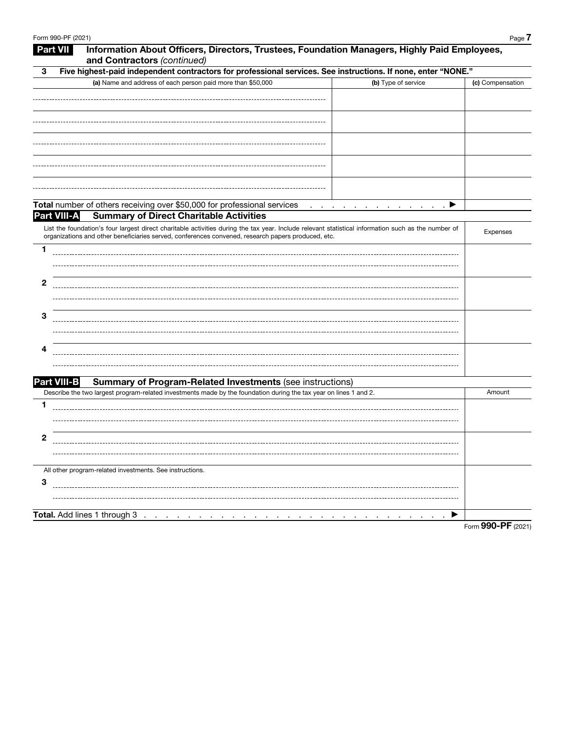|   | Form 990-PF (2021) |                                                                                                                                                                                                                                                           | Page 7             |
|---|--------------------|-----------------------------------------------------------------------------------------------------------------------------------------------------------------------------------------------------------------------------------------------------------|--------------------|
|   | <b>Part VII</b>    | Information About Officers, Directors, Trustees, Foundation Managers, Highly Paid Employees,<br>and Contractors (continued)                                                                                                                               |                    |
| 3 |                    | Five highest-paid independent contractors for professional services. See instructions. If none, enter "NONE."                                                                                                                                             |                    |
|   |                    | (a) Name and address of each person paid more than \$50,000<br>(b) Type of service                                                                                                                                                                        | (c) Compensation   |
|   |                    |                                                                                                                                                                                                                                                           |                    |
|   |                    |                                                                                                                                                                                                                                                           |                    |
|   |                    |                                                                                                                                                                                                                                                           |                    |
|   |                    |                                                                                                                                                                                                                                                           |                    |
|   |                    |                                                                                                                                                                                                                                                           |                    |
|   |                    |                                                                                                                                                                                                                                                           |                    |
|   |                    |                                                                                                                                                                                                                                                           |                    |
|   |                    |                                                                                                                                                                                                                                                           |                    |
|   |                    |                                                                                                                                                                                                                                                           |                    |
|   |                    | Total number of others receiving over \$50,000 for professional services<br>and a series of the contract of the contract of                                                                                                                               |                    |
|   | <b>Part VIII-A</b> | <b>Summary of Direct Charitable Activities</b>                                                                                                                                                                                                            |                    |
|   |                    | List the foundation's four largest direct charitable activities during the tax year. Include relevant statistical information such as the number of<br>organizations and other beneficiaries served, conferences convened, research papers produced, etc. | Expenses           |
| 1 |                    |                                                                                                                                                                                                                                                           |                    |
|   |                    |                                                                                                                                                                                                                                                           |                    |
|   |                    |                                                                                                                                                                                                                                                           |                    |
| 2 |                    |                                                                                                                                                                                                                                                           |                    |
|   |                    |                                                                                                                                                                                                                                                           |                    |
|   |                    |                                                                                                                                                                                                                                                           |                    |
| 3 |                    |                                                                                                                                                                                                                                                           |                    |
|   |                    |                                                                                                                                                                                                                                                           |                    |
| 4 |                    |                                                                                                                                                                                                                                                           |                    |
|   |                    |                                                                                                                                                                                                                                                           |                    |
|   |                    |                                                                                                                                                                                                                                                           |                    |
|   | <b>Part VIII-B</b> | <b>Summary of Program-Related Investments (see instructions)</b>                                                                                                                                                                                          |                    |
|   |                    | Describe the two largest program-related investments made by the foundation during the tax year on lines 1 and 2.                                                                                                                                         | Amount             |
| 1 |                    |                                                                                                                                                                                                                                                           |                    |
|   |                    |                                                                                                                                                                                                                                                           |                    |
|   |                    |                                                                                                                                                                                                                                                           |                    |
| 2 |                    |                                                                                                                                                                                                                                                           |                    |
|   |                    |                                                                                                                                                                                                                                                           |                    |
|   |                    | All other program-related investments. See instructions.                                                                                                                                                                                                  |                    |
| 3 |                    |                                                                                                                                                                                                                                                           |                    |
|   |                    |                                                                                                                                                                                                                                                           |                    |
|   |                    |                                                                                                                                                                                                                                                           |                    |
|   |                    | Total. Add lines 1 through 3<br>$\cdot$<br>the company of the company<br>$\sim$                                                                                                                                                                           |                    |
|   |                    |                                                                                                                                                                                                                                                           | Form 990-PF (2021) |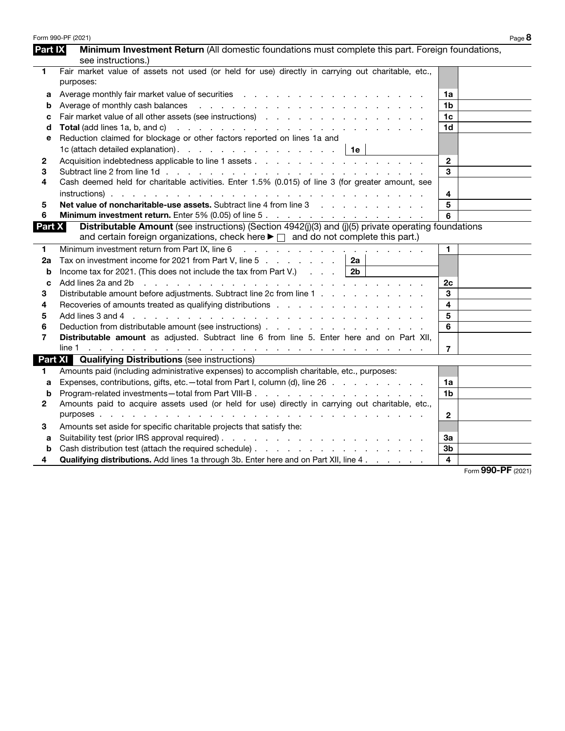| <b>Part IX</b><br>Minimum Investment Return (All domestic foundations must complete this part. Foreign foundations,<br>see instructions.)<br>Fair market value of assets not used (or held for use) directly in carrying out charitable, etc.,<br>1<br>purposes:<br>1a<br>a<br>Average of monthly cash balances<br>and a series of the contract of the contract of the contract of the contract of<br>1b<br>b<br>1c<br>c<br>1d<br>Total (add lines 1a, b, and c)<br>and a series of the contract of the contract of the contract of the contract of<br>d<br>Reduction claimed for blockage or other factors reported on lines 1a and<br>е<br>1c (attach detailed explanation). $\therefore$ $\therefore$ $\therefore$ $\therefore$ $\therefore$ $\therefore$ $\therefore$ $\therefore$ $\therefore$ $\therefore$ $\therefore$ $\therefore$ $\therefore$ $\therefore$ $\therefore$ $\therefore$ $\therefore$ $\therefore$ $\therefore$ $\therefore$ $\therefore$ $\therefore$ $\therefore$ $\therefore$ $\therefore$ $\therefore$ $\therefore$ $\therefore$ $\therefore$ $\therefore$ $\therefore$<br>1e<br>$\mathbf{2}$<br>2<br>3<br>3<br>Cash deemed held for charitable activities. Enter 1.5% (0.015) of line 3 (for greater amount, see<br>4<br>4<br>5<br>Net value of noncharitable-use assets. Subtract line 4 from line 3 and the state of noncharitable-use assets.<br>5<br>6<br>Minimum investment return. Enter 5% (0.05) of line 5.<br>6<br>Distributable Amount (see instructions) (Section 4942(j)(3) and (j)(5) private operating foundations<br>Part X<br>and certain foreign organizations, check here ► □ and do not complete this part.)<br>Minimum investment return from Part IX, line 6<br>$\mathbf{1}$<br>1<br>and the contract of the contract of the contract of the<br>Tax on investment income for 2021 from Part V, line 5 $\ldots$ $\ldots$ $\ldots$<br>2a<br>2a<br>Income tax for 2021. (This does not include the tax from Part V.) $\ldots$<br>2 <sub>b</sub><br>b<br>Add lines 2a and 2b<br><u>. A series and a series and a series and a series and a series and</u><br>2c<br>C<br>Distributable amount before adjustments. Subtract line 2c from line 1<br>3<br>3<br>$\overline{\mathbf{4}}$<br>Recoveries of amounts treated as qualifying distributions enteries and annual set of amounts treated as qualifying distributions<br>4<br>5<br>Add lines 3 and 4 research research research research research research research research research research research research research research research research research research research research research research resear<br>5<br>6<br>6<br>Distributable amount as adjusted. Subtract line 6 from line 5. Enter here and on Part XII,<br>7<br>$\overline{7}$<br><b>Part XI</b> Qualifying Distributions (see instructions)<br>Amounts paid (including administrative expenses) to accomplish charitable, etc., purposes:<br>1.<br>Expenses, contributions, gifts, etc.—total from Part I, column (d), line 26<br>1a<br>a<br>1b<br>b<br>Amounts paid to acquire assets used (or held for use) directly in carrying out charitable, etc.,<br>2<br>$\overline{2}$<br>Amounts set aside for specific charitable projects that satisfy the:<br>3<br>За<br>a<br>3b<br>b<br>$\overline{4}$<br><b>Qualifying distributions.</b> Add lines 1a through 3b. Enter here and on Part XII, line 4.<br>4<br>$\sim$ $\sim$ | Form 990-PF (2021) | Page 8 |
|--------------------------------------------------------------------------------------------------------------------------------------------------------------------------------------------------------------------------------------------------------------------------------------------------------------------------------------------------------------------------------------------------------------------------------------------------------------------------------------------------------------------------------------------------------------------------------------------------------------------------------------------------------------------------------------------------------------------------------------------------------------------------------------------------------------------------------------------------------------------------------------------------------------------------------------------------------------------------------------------------------------------------------------------------------------------------------------------------------------------------------------------------------------------------------------------------------------------------------------------------------------------------------------------------------------------------------------------------------------------------------------------------------------------------------------------------------------------------------------------------------------------------------------------------------------------------------------------------------------------------------------------------------------------------------------------------------------------------------------------------------------------------------------------------------------------------------------------------------------------------------------------------------------------------------------------------------------------------------------------------------------------------------------------------------------------------------------------------------------------------------------------------------------------------------------------------------------------------------------------------------------------------------------------------------------------------------------------------------------------------------------------------------------------------------------------------------------------------------------------------------------------------------------------------------------------------------------------------------------------------------------------------------------------------------------------------------------------------------------------------------------------------------------------------------------------------------------------------------------------------------------------------------------------------------------------------------------------------------------------------------------------------------------------------------------------------------------------------------------------------------------------------------------------------------------------------------------------------------------------------------------------------------------------------------------------------------------------------------------------------------------------------|--------------------|--------|
|                                                                                                                                                                                                                                                                                                                                                                                                                                                                                                                                                                                                                                                                                                                                                                                                                                                                                                                                                                                                                                                                                                                                                                                                                                                                                                                                                                                                                                                                                                                                                                                                                                                                                                                                                                                                                                                                                                                                                                                                                                                                                                                                                                                                                                                                                                                                                                                                                                                                                                                                                                                                                                                                                                                                                                                                                                                                                                                                                                                                                                                                                                                                                                                                                                                                                                                                                                                                  |                    |        |
|                                                                                                                                                                                                                                                                                                                                                                                                                                                                                                                                                                                                                                                                                                                                                                                                                                                                                                                                                                                                                                                                                                                                                                                                                                                                                                                                                                                                                                                                                                                                                                                                                                                                                                                                                                                                                                                                                                                                                                                                                                                                                                                                                                                                                                                                                                                                                                                                                                                                                                                                                                                                                                                                                                                                                                                                                                                                                                                                                                                                                                                                                                                                                                                                                                                                                                                                                                                                  |                    |        |
|                                                                                                                                                                                                                                                                                                                                                                                                                                                                                                                                                                                                                                                                                                                                                                                                                                                                                                                                                                                                                                                                                                                                                                                                                                                                                                                                                                                                                                                                                                                                                                                                                                                                                                                                                                                                                                                                                                                                                                                                                                                                                                                                                                                                                                                                                                                                                                                                                                                                                                                                                                                                                                                                                                                                                                                                                                                                                                                                                                                                                                                                                                                                                                                                                                                                                                                                                                                                  |                    |        |
|                                                                                                                                                                                                                                                                                                                                                                                                                                                                                                                                                                                                                                                                                                                                                                                                                                                                                                                                                                                                                                                                                                                                                                                                                                                                                                                                                                                                                                                                                                                                                                                                                                                                                                                                                                                                                                                                                                                                                                                                                                                                                                                                                                                                                                                                                                                                                                                                                                                                                                                                                                                                                                                                                                                                                                                                                                                                                                                                                                                                                                                                                                                                                                                                                                                                                                                                                                                                  |                    |        |
|                                                                                                                                                                                                                                                                                                                                                                                                                                                                                                                                                                                                                                                                                                                                                                                                                                                                                                                                                                                                                                                                                                                                                                                                                                                                                                                                                                                                                                                                                                                                                                                                                                                                                                                                                                                                                                                                                                                                                                                                                                                                                                                                                                                                                                                                                                                                                                                                                                                                                                                                                                                                                                                                                                                                                                                                                                                                                                                                                                                                                                                                                                                                                                                                                                                                                                                                                                                                  |                    |        |
|                                                                                                                                                                                                                                                                                                                                                                                                                                                                                                                                                                                                                                                                                                                                                                                                                                                                                                                                                                                                                                                                                                                                                                                                                                                                                                                                                                                                                                                                                                                                                                                                                                                                                                                                                                                                                                                                                                                                                                                                                                                                                                                                                                                                                                                                                                                                                                                                                                                                                                                                                                                                                                                                                                                                                                                                                                                                                                                                                                                                                                                                                                                                                                                                                                                                                                                                                                                                  |                    |        |
|                                                                                                                                                                                                                                                                                                                                                                                                                                                                                                                                                                                                                                                                                                                                                                                                                                                                                                                                                                                                                                                                                                                                                                                                                                                                                                                                                                                                                                                                                                                                                                                                                                                                                                                                                                                                                                                                                                                                                                                                                                                                                                                                                                                                                                                                                                                                                                                                                                                                                                                                                                                                                                                                                                                                                                                                                                                                                                                                                                                                                                                                                                                                                                                                                                                                                                                                                                                                  |                    |        |
|                                                                                                                                                                                                                                                                                                                                                                                                                                                                                                                                                                                                                                                                                                                                                                                                                                                                                                                                                                                                                                                                                                                                                                                                                                                                                                                                                                                                                                                                                                                                                                                                                                                                                                                                                                                                                                                                                                                                                                                                                                                                                                                                                                                                                                                                                                                                                                                                                                                                                                                                                                                                                                                                                                                                                                                                                                                                                                                                                                                                                                                                                                                                                                                                                                                                                                                                                                                                  |                    |        |
|                                                                                                                                                                                                                                                                                                                                                                                                                                                                                                                                                                                                                                                                                                                                                                                                                                                                                                                                                                                                                                                                                                                                                                                                                                                                                                                                                                                                                                                                                                                                                                                                                                                                                                                                                                                                                                                                                                                                                                                                                                                                                                                                                                                                                                                                                                                                                                                                                                                                                                                                                                                                                                                                                                                                                                                                                                                                                                                                                                                                                                                                                                                                                                                                                                                                                                                                                                                                  |                    |        |
|                                                                                                                                                                                                                                                                                                                                                                                                                                                                                                                                                                                                                                                                                                                                                                                                                                                                                                                                                                                                                                                                                                                                                                                                                                                                                                                                                                                                                                                                                                                                                                                                                                                                                                                                                                                                                                                                                                                                                                                                                                                                                                                                                                                                                                                                                                                                                                                                                                                                                                                                                                                                                                                                                                                                                                                                                                                                                                                                                                                                                                                                                                                                                                                                                                                                                                                                                                                                  |                    |        |
|                                                                                                                                                                                                                                                                                                                                                                                                                                                                                                                                                                                                                                                                                                                                                                                                                                                                                                                                                                                                                                                                                                                                                                                                                                                                                                                                                                                                                                                                                                                                                                                                                                                                                                                                                                                                                                                                                                                                                                                                                                                                                                                                                                                                                                                                                                                                                                                                                                                                                                                                                                                                                                                                                                                                                                                                                                                                                                                                                                                                                                                                                                                                                                                                                                                                                                                                                                                                  |                    |        |
|                                                                                                                                                                                                                                                                                                                                                                                                                                                                                                                                                                                                                                                                                                                                                                                                                                                                                                                                                                                                                                                                                                                                                                                                                                                                                                                                                                                                                                                                                                                                                                                                                                                                                                                                                                                                                                                                                                                                                                                                                                                                                                                                                                                                                                                                                                                                                                                                                                                                                                                                                                                                                                                                                                                                                                                                                                                                                                                                                                                                                                                                                                                                                                                                                                                                                                                                                                                                  |                    |        |
|                                                                                                                                                                                                                                                                                                                                                                                                                                                                                                                                                                                                                                                                                                                                                                                                                                                                                                                                                                                                                                                                                                                                                                                                                                                                                                                                                                                                                                                                                                                                                                                                                                                                                                                                                                                                                                                                                                                                                                                                                                                                                                                                                                                                                                                                                                                                                                                                                                                                                                                                                                                                                                                                                                                                                                                                                                                                                                                                                                                                                                                                                                                                                                                                                                                                                                                                                                                                  |                    |        |
|                                                                                                                                                                                                                                                                                                                                                                                                                                                                                                                                                                                                                                                                                                                                                                                                                                                                                                                                                                                                                                                                                                                                                                                                                                                                                                                                                                                                                                                                                                                                                                                                                                                                                                                                                                                                                                                                                                                                                                                                                                                                                                                                                                                                                                                                                                                                                                                                                                                                                                                                                                                                                                                                                                                                                                                                                                                                                                                                                                                                                                                                                                                                                                                                                                                                                                                                                                                                  |                    |        |
|                                                                                                                                                                                                                                                                                                                                                                                                                                                                                                                                                                                                                                                                                                                                                                                                                                                                                                                                                                                                                                                                                                                                                                                                                                                                                                                                                                                                                                                                                                                                                                                                                                                                                                                                                                                                                                                                                                                                                                                                                                                                                                                                                                                                                                                                                                                                                                                                                                                                                                                                                                                                                                                                                                                                                                                                                                                                                                                                                                                                                                                                                                                                                                                                                                                                                                                                                                                                  |                    |        |
|                                                                                                                                                                                                                                                                                                                                                                                                                                                                                                                                                                                                                                                                                                                                                                                                                                                                                                                                                                                                                                                                                                                                                                                                                                                                                                                                                                                                                                                                                                                                                                                                                                                                                                                                                                                                                                                                                                                                                                                                                                                                                                                                                                                                                                                                                                                                                                                                                                                                                                                                                                                                                                                                                                                                                                                                                                                                                                                                                                                                                                                                                                                                                                                                                                                                                                                                                                                                  |                    |        |
|                                                                                                                                                                                                                                                                                                                                                                                                                                                                                                                                                                                                                                                                                                                                                                                                                                                                                                                                                                                                                                                                                                                                                                                                                                                                                                                                                                                                                                                                                                                                                                                                                                                                                                                                                                                                                                                                                                                                                                                                                                                                                                                                                                                                                                                                                                                                                                                                                                                                                                                                                                                                                                                                                                                                                                                                                                                                                                                                                                                                                                                                                                                                                                                                                                                                                                                                                                                                  |                    |        |
|                                                                                                                                                                                                                                                                                                                                                                                                                                                                                                                                                                                                                                                                                                                                                                                                                                                                                                                                                                                                                                                                                                                                                                                                                                                                                                                                                                                                                                                                                                                                                                                                                                                                                                                                                                                                                                                                                                                                                                                                                                                                                                                                                                                                                                                                                                                                                                                                                                                                                                                                                                                                                                                                                                                                                                                                                                                                                                                                                                                                                                                                                                                                                                                                                                                                                                                                                                                                  |                    |        |
|                                                                                                                                                                                                                                                                                                                                                                                                                                                                                                                                                                                                                                                                                                                                                                                                                                                                                                                                                                                                                                                                                                                                                                                                                                                                                                                                                                                                                                                                                                                                                                                                                                                                                                                                                                                                                                                                                                                                                                                                                                                                                                                                                                                                                                                                                                                                                                                                                                                                                                                                                                                                                                                                                                                                                                                                                                                                                                                                                                                                                                                                                                                                                                                                                                                                                                                                                                                                  |                    |        |
|                                                                                                                                                                                                                                                                                                                                                                                                                                                                                                                                                                                                                                                                                                                                                                                                                                                                                                                                                                                                                                                                                                                                                                                                                                                                                                                                                                                                                                                                                                                                                                                                                                                                                                                                                                                                                                                                                                                                                                                                                                                                                                                                                                                                                                                                                                                                                                                                                                                                                                                                                                                                                                                                                                                                                                                                                                                                                                                                                                                                                                                                                                                                                                                                                                                                                                                                                                                                  |                    |        |
|                                                                                                                                                                                                                                                                                                                                                                                                                                                                                                                                                                                                                                                                                                                                                                                                                                                                                                                                                                                                                                                                                                                                                                                                                                                                                                                                                                                                                                                                                                                                                                                                                                                                                                                                                                                                                                                                                                                                                                                                                                                                                                                                                                                                                                                                                                                                                                                                                                                                                                                                                                                                                                                                                                                                                                                                                                                                                                                                                                                                                                                                                                                                                                                                                                                                                                                                                                                                  |                    |        |
|                                                                                                                                                                                                                                                                                                                                                                                                                                                                                                                                                                                                                                                                                                                                                                                                                                                                                                                                                                                                                                                                                                                                                                                                                                                                                                                                                                                                                                                                                                                                                                                                                                                                                                                                                                                                                                                                                                                                                                                                                                                                                                                                                                                                                                                                                                                                                                                                                                                                                                                                                                                                                                                                                                                                                                                                                                                                                                                                                                                                                                                                                                                                                                                                                                                                                                                                                                                                  |                    |        |
|                                                                                                                                                                                                                                                                                                                                                                                                                                                                                                                                                                                                                                                                                                                                                                                                                                                                                                                                                                                                                                                                                                                                                                                                                                                                                                                                                                                                                                                                                                                                                                                                                                                                                                                                                                                                                                                                                                                                                                                                                                                                                                                                                                                                                                                                                                                                                                                                                                                                                                                                                                                                                                                                                                                                                                                                                                                                                                                                                                                                                                                                                                                                                                                                                                                                                                                                                                                                  |                    |        |
|                                                                                                                                                                                                                                                                                                                                                                                                                                                                                                                                                                                                                                                                                                                                                                                                                                                                                                                                                                                                                                                                                                                                                                                                                                                                                                                                                                                                                                                                                                                                                                                                                                                                                                                                                                                                                                                                                                                                                                                                                                                                                                                                                                                                                                                                                                                                                                                                                                                                                                                                                                                                                                                                                                                                                                                                                                                                                                                                                                                                                                                                                                                                                                                                                                                                                                                                                                                                  |                    |        |
|                                                                                                                                                                                                                                                                                                                                                                                                                                                                                                                                                                                                                                                                                                                                                                                                                                                                                                                                                                                                                                                                                                                                                                                                                                                                                                                                                                                                                                                                                                                                                                                                                                                                                                                                                                                                                                                                                                                                                                                                                                                                                                                                                                                                                                                                                                                                                                                                                                                                                                                                                                                                                                                                                                                                                                                                                                                                                                                                                                                                                                                                                                                                                                                                                                                                                                                                                                                                  |                    |        |
|                                                                                                                                                                                                                                                                                                                                                                                                                                                                                                                                                                                                                                                                                                                                                                                                                                                                                                                                                                                                                                                                                                                                                                                                                                                                                                                                                                                                                                                                                                                                                                                                                                                                                                                                                                                                                                                                                                                                                                                                                                                                                                                                                                                                                                                                                                                                                                                                                                                                                                                                                                                                                                                                                                                                                                                                                                                                                                                                                                                                                                                                                                                                                                                                                                                                                                                                                                                                  |                    |        |
|                                                                                                                                                                                                                                                                                                                                                                                                                                                                                                                                                                                                                                                                                                                                                                                                                                                                                                                                                                                                                                                                                                                                                                                                                                                                                                                                                                                                                                                                                                                                                                                                                                                                                                                                                                                                                                                                                                                                                                                                                                                                                                                                                                                                                                                                                                                                                                                                                                                                                                                                                                                                                                                                                                                                                                                                                                                                                                                                                                                                                                                                                                                                                                                                                                                                                                                                                                                                  |                    |        |
|                                                                                                                                                                                                                                                                                                                                                                                                                                                                                                                                                                                                                                                                                                                                                                                                                                                                                                                                                                                                                                                                                                                                                                                                                                                                                                                                                                                                                                                                                                                                                                                                                                                                                                                                                                                                                                                                                                                                                                                                                                                                                                                                                                                                                                                                                                                                                                                                                                                                                                                                                                                                                                                                                                                                                                                                                                                                                                                                                                                                                                                                                                                                                                                                                                                                                                                                                                                                  |                    |        |
|                                                                                                                                                                                                                                                                                                                                                                                                                                                                                                                                                                                                                                                                                                                                                                                                                                                                                                                                                                                                                                                                                                                                                                                                                                                                                                                                                                                                                                                                                                                                                                                                                                                                                                                                                                                                                                                                                                                                                                                                                                                                                                                                                                                                                                                                                                                                                                                                                                                                                                                                                                                                                                                                                                                                                                                                                                                                                                                                                                                                                                                                                                                                                                                                                                                                                                                                                                                                  |                    |        |
|                                                                                                                                                                                                                                                                                                                                                                                                                                                                                                                                                                                                                                                                                                                                                                                                                                                                                                                                                                                                                                                                                                                                                                                                                                                                                                                                                                                                                                                                                                                                                                                                                                                                                                                                                                                                                                                                                                                                                                                                                                                                                                                                                                                                                                                                                                                                                                                                                                                                                                                                                                                                                                                                                                                                                                                                                                                                                                                                                                                                                                                                                                                                                                                                                                                                                                                                                                                                  |                    |        |
|                                                                                                                                                                                                                                                                                                                                                                                                                                                                                                                                                                                                                                                                                                                                                                                                                                                                                                                                                                                                                                                                                                                                                                                                                                                                                                                                                                                                                                                                                                                                                                                                                                                                                                                                                                                                                                                                                                                                                                                                                                                                                                                                                                                                                                                                                                                                                                                                                                                                                                                                                                                                                                                                                                                                                                                                                                                                                                                                                                                                                                                                                                                                                                                                                                                                                                                                                                                                  |                    |        |
|                                                                                                                                                                                                                                                                                                                                                                                                                                                                                                                                                                                                                                                                                                                                                                                                                                                                                                                                                                                                                                                                                                                                                                                                                                                                                                                                                                                                                                                                                                                                                                                                                                                                                                                                                                                                                                                                                                                                                                                                                                                                                                                                                                                                                                                                                                                                                                                                                                                                                                                                                                                                                                                                                                                                                                                                                                                                                                                                                                                                                                                                                                                                                                                                                                                                                                                                                                                                  |                    |        |
|                                                                                                                                                                                                                                                                                                                                                                                                                                                                                                                                                                                                                                                                                                                                                                                                                                                                                                                                                                                                                                                                                                                                                                                                                                                                                                                                                                                                                                                                                                                                                                                                                                                                                                                                                                                                                                                                                                                                                                                                                                                                                                                                                                                                                                                                                                                                                                                                                                                                                                                                                                                                                                                                                                                                                                                                                                                                                                                                                                                                                                                                                                                                                                                                                                                                                                                                                                                                  |                    |        |
|                                                                                                                                                                                                                                                                                                                                                                                                                                                                                                                                                                                                                                                                                                                                                                                                                                                                                                                                                                                                                                                                                                                                                                                                                                                                                                                                                                                                                                                                                                                                                                                                                                                                                                                                                                                                                                                                                                                                                                                                                                                                                                                                                                                                                                                                                                                                                                                                                                                                                                                                                                                                                                                                                                                                                                                                                                                                                                                                                                                                                                                                                                                                                                                                                                                                                                                                                                                                  |                    |        |
|                                                                                                                                                                                                                                                                                                                                                                                                                                                                                                                                                                                                                                                                                                                                                                                                                                                                                                                                                                                                                                                                                                                                                                                                                                                                                                                                                                                                                                                                                                                                                                                                                                                                                                                                                                                                                                                                                                                                                                                                                                                                                                                                                                                                                                                                                                                                                                                                                                                                                                                                                                                                                                                                                                                                                                                                                                                                                                                                                                                                                                                                                                                                                                                                                                                                                                                                                                                                  |                    |        |
|                                                                                                                                                                                                                                                                                                                                                                                                                                                                                                                                                                                                                                                                                                                                                                                                                                                                                                                                                                                                                                                                                                                                                                                                                                                                                                                                                                                                                                                                                                                                                                                                                                                                                                                                                                                                                                                                                                                                                                                                                                                                                                                                                                                                                                                                                                                                                                                                                                                                                                                                                                                                                                                                                                                                                                                                                                                                                                                                                                                                                                                                                                                                                                                                                                                                                                                                                                                                  |                    |        |
|                                                                                                                                                                                                                                                                                                                                                                                                                                                                                                                                                                                                                                                                                                                                                                                                                                                                                                                                                                                                                                                                                                                                                                                                                                                                                                                                                                                                                                                                                                                                                                                                                                                                                                                                                                                                                                                                                                                                                                                                                                                                                                                                                                                                                                                                                                                                                                                                                                                                                                                                                                                                                                                                                                                                                                                                                                                                                                                                                                                                                                                                                                                                                                                                                                                                                                                                                                                                  |                    |        |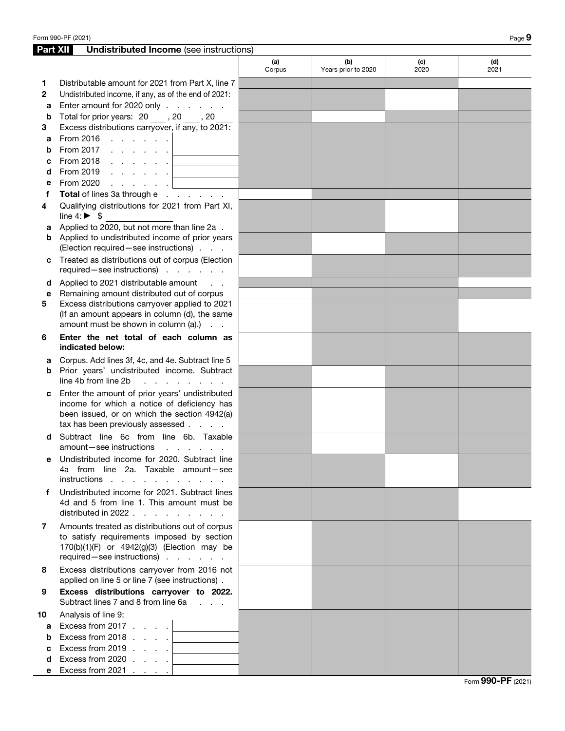| <b>Part XII</b> | <b>Undistributed Income</b> (see instructions)                                                                                                                                    |               |                            |             |             |
|-----------------|-----------------------------------------------------------------------------------------------------------------------------------------------------------------------------------|---------------|----------------------------|-------------|-------------|
|                 |                                                                                                                                                                                   | (a)<br>Corpus | (b)<br>Years prior to 2020 | (c)<br>2020 | (d)<br>2021 |
| 1               | Distributable amount for 2021 from Part X, line 7                                                                                                                                 |               |                            |             |             |
| $\mathbf{2}$    | Undistributed income, if any, as of the end of 2021:                                                                                                                              |               |                            |             |             |
| a               | Enter amount for 2020 only                                                                                                                                                        |               |                            |             |             |
| b               | Total for prior years: 20, 30, 20                                                                                                                                                 |               |                            |             |             |
| 3               | Excess distributions carryover, if any, to 2021:                                                                                                                                  |               |                            |             |             |
|                 |                                                                                                                                                                                   |               |                            |             |             |
| a               | From 2017                                                                                                                                                                         |               |                            |             |             |
| b               | the control of the control of the control of                                                                                                                                      |               |                            |             |             |
| c               | <u> 1980 - Johann Barbara, martxa a</u>                                                                                                                                           |               |                            |             |             |
| d               | From 2019 $\, \cdot \,$ $\, \cdot \,$ $\, \cdot \,$ $\, \cdot \,$ $\,$ $\,$ $\,$<br><u> 1989 - Johann Barbara, martxa a</u>                                                       |               |                            |             |             |
| е               | From 2020<br>and the company                                                                                                                                                      |               |                            |             |             |
| f               | Total of lines 3a through e                                                                                                                                                       |               |                            |             |             |
| 4               | Qualifying distributions for 2021 from Part XI,<br>line 4: $\triangleright$ \$                                                                                                    |               |                            |             |             |
| а               | Applied to 2020, but not more than line 2a.                                                                                                                                       |               |                            |             |             |
| b               | Applied to undistributed income of prior years<br>(Election required - see instructions)                                                                                          |               |                            |             |             |
| с               | Treated as distributions out of corpus (Election                                                                                                                                  |               |                            |             |             |
|                 | required-see instructions)                                                                                                                                                        |               |                            |             |             |
| d               | Applied to 2021 distributable amount<br>$\sim 100$ km s $^{-1}$                                                                                                                   |               |                            |             |             |
| е               | Remaining amount distributed out of corpus                                                                                                                                        |               |                            |             |             |
| 5               | Excess distributions carryover applied to 2021                                                                                                                                    |               |                            |             |             |
|                 | (If an amount appears in column (d), the same<br>amount must be shown in column (a).)                                                                                             |               |                            |             |             |
| 6               | Enter the net total of each column as<br>indicated below:                                                                                                                         |               |                            |             |             |
| а               | Corpus. Add lines 3f, 4c, and 4e. Subtract line 5                                                                                                                                 |               |                            |             |             |
| b               | Prior years' undistributed income. Subtract<br>line 4b from line 2b<br>and a strategic and a strategic                                                                            |               |                            |             |             |
| с               | Enter the amount of prior years' undistributed<br>income for which a notice of deficiency has<br>been issued, or on which the section 4942(a)<br>tax has been previously assessed |               |                            |             |             |
| d               | Subtract line 6c from line 6b. Taxable<br>amount-see instructions<br>and the contract of the con-                                                                                 |               |                            |             |             |
|                 | e Undistributed income for 2020. Subtract line                                                                                                                                    |               |                            |             |             |
|                 | 4a from line 2a. Taxable amount-see<br>instructions                                                                                                                               |               |                            |             |             |
| f               | Undistributed income for 2021. Subtract lines                                                                                                                                     |               |                            |             |             |
|                 | 4d and 5 from line 1. This amount must be<br>distributed in 2022                                                                                                                  |               |                            |             |             |
| 7               | Amounts treated as distributions out of corpus<br>to satisfy requirements imposed by section                                                                                      |               |                            |             |             |
|                 | 170(b)(1)(F) or 4942(g)(3) (Election may be<br>required - see instructions)                                                                                                       |               |                            |             |             |
| 8               | Excess distributions carryover from 2016 not                                                                                                                                      |               |                            |             |             |
| 9               | applied on line 5 or line 7 (see instructions).<br>Excess distributions carryover to 2022.                                                                                        |               |                            |             |             |
|                 | Subtract lines 7 and 8 from line 6a                                                                                                                                               |               |                            |             |             |
| 10              | Analysis of line 9:                                                                                                                                                               |               |                            |             |             |
| a               | Excess from 2017 $\ldots$ .<br>$\mathcal{L}_{\text{max}}$ and $\mathcal{L}_{\text{max}}$                                                                                          |               |                            |             |             |
| b               | Excess from 2018<br>and the control of the control of                                                                                                                             |               |                            |             |             |
| c               | Excess from $2019$ $\ldots$ $\ldots$<br>the control of the control of the control of                                                                                              |               |                            |             |             |
| d               | Excess from 2020 $\ldots$ $\ldots$<br><u> 1980 - Johann Barn, mars ann an t-</u>                                                                                                  |               |                            |             |             |
| е               | Excess from 2021 $\ldots$ .                                                                                                                                                       |               |                            |             |             |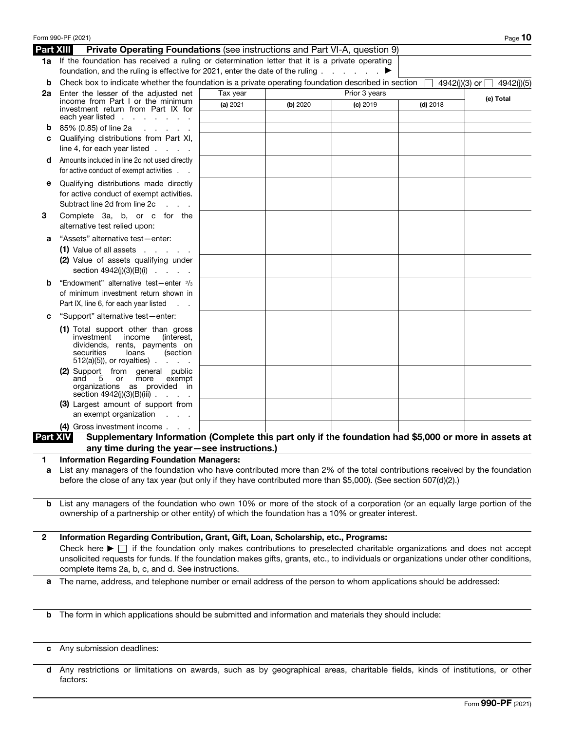|                  | Form 990-PF (2021)                                                                                                                                                                                                              |          |          |               |            | Page $10$                       |
|------------------|---------------------------------------------------------------------------------------------------------------------------------------------------------------------------------------------------------------------------------|----------|----------|---------------|------------|---------------------------------|
| <b>Part XIII</b> | <b>Private Operating Foundations (see instructions and Part VI-A, question 9)</b>                                                                                                                                               |          |          |               |            |                                 |
|                  | 1a If the foundation has received a ruling or determination letter that it is a private operating<br>foundation, and the ruling is effective for 2021, enter the date of the ruling $\ldots$                                    |          |          |               |            |                                 |
| b                | Check box to indicate whether the foundation is a private operating foundation described in section                                                                                                                             |          |          |               |            | 4942(j)(3) or $\Box$ 4942(j)(5) |
| 2a               | Enter the lesser of the adiusted net<br>income from Part I or the minimum                                                                                                                                                       | Tax year |          | Prior 3 years |            | (e) Total                       |
|                  | investment return from Part IX for                                                                                                                                                                                              | (a) 2021 | (b) 2020 | $(c)$ 2019    | $(d)$ 2018 |                                 |
|                  | each year listed $\ldots$                                                                                                                                                                                                       |          |          |               |            |                                 |
| b                | 85% (0.85) of line 2a<br>and the company of the com-                                                                                                                                                                            |          |          |               |            |                                 |
| c                | Qualifying distributions from Part XI,                                                                                                                                                                                          |          |          |               |            |                                 |
|                  | line 4, for each year listed $\ldots$ .                                                                                                                                                                                         |          |          |               |            |                                 |
| d                | Amounts included in line 2c not used directly<br>for active conduct of exempt activities                                                                                                                                        |          |          |               |            |                                 |
| е                | Qualifying distributions made directly                                                                                                                                                                                          |          |          |               |            |                                 |
|                  | for active conduct of exempt activities.                                                                                                                                                                                        |          |          |               |            |                                 |
|                  | Subtract line 2d from line 2c<br><b>Service</b>                                                                                                                                                                                 |          |          |               |            |                                 |
| 3                | Complete 3a, b, or c for the<br>alternative test relied upon:                                                                                                                                                                   |          |          |               |            |                                 |
| а                | "Assets" alternative test-enter:                                                                                                                                                                                                |          |          |               |            |                                 |
|                  | $(1)$ Value of all assets $\ldots$                                                                                                                                                                                              |          |          |               |            |                                 |
|                  | (2) Value of assets qualifying under<br>section $4942(j)(3)(B)(i)$                                                                                                                                                              |          |          |               |            |                                 |
| b                | "Endowment" alternative test-enter 2/3                                                                                                                                                                                          |          |          |               |            |                                 |
|                  | of minimum investment return shown in<br>Part IX, line 6, for each year listed<br>$\sim 10$ $\mu$                                                                                                                               |          |          |               |            |                                 |
| c                | "Support" alternative test-enter:                                                                                                                                                                                               |          |          |               |            |                                 |
|                  | (1) Total support other than gross<br>investment income<br>(interest,<br>dividends, rents, payments on<br>securities<br>loans<br>(section<br>$512(a)(5)$ , or royalties)                                                        |          |          |               |            |                                 |
|                  | (2) Support from general public<br>5 or more<br>exempt<br>and<br>organizations as provided in<br>section $4942(j)(3)(B)(iii)$                                                                                                   |          |          |               |            |                                 |
|                  | (3) Largest amount of support from<br>an exempt organization                                                                                                                                                                    |          |          |               |            |                                 |
|                  | (4) Gross investment income                                                                                                                                                                                                     |          |          |               |            |                                 |
| <b>Part XIV</b>  | Supplementary Information (Complete this part only if the foundation had \$5,000 or more in assets at                                                                                                                           |          |          |               |            |                                 |
|                  | any time during the year-see instructions.)                                                                                                                                                                                     |          |          |               |            |                                 |
| 1                | <b>Information Regarding Foundation Managers:</b><br>List any managers of the foundation who have contributed more than 2% of the total contributions received by the foundation                                                |          |          |               |            |                                 |
| а                | before the close of any tax year (but only if they have contributed more than \$5,000). (See section 507(d)(2).)                                                                                                                |          |          |               |            |                                 |
| b                | List any managers of the foundation who own 10% or more of the stock of a corporation (or an equally large portion of the<br>ownership of a partnership or other entity) of which the foundation has a 10% or greater interest. |          |          |               |            |                                 |
| 2                | Information Regarding Contribution, Grant, Gift, Loan, Scholarship, etc., Programs:                                                                                                                                             |          |          |               |            |                                 |
|                  | Check here $\blacktriangleright \Box$ if the foundation only makes contributions to preselected charitable organizations and does not accept                                                                                    |          |          |               |            |                                 |
|                  | unsolicited requests for funds. If the foundation makes gifts, grants, etc., to individuals or organizations under other conditions,<br>complete items 2a, b, c, and d. See instructions.                                       |          |          |               |            |                                 |
| a                | The name, address, and telephone number or email address of the person to whom applications should be addressed:                                                                                                                |          |          |               |            |                                 |
| b                | The form in which applications should be submitted and information and materials they should include:                                                                                                                           |          |          |               |            |                                 |
|                  |                                                                                                                                                                                                                                 |          |          |               |            |                                 |
| c                | Any submission deadlines:                                                                                                                                                                                                       |          |          |               |            |                                 |
|                  |                                                                                                                                                                                                                                 |          |          |               |            |                                 |

d Any restrictions or limitations on awards, such as by geographical areas, charitable fields, kinds of institutions, or other factors: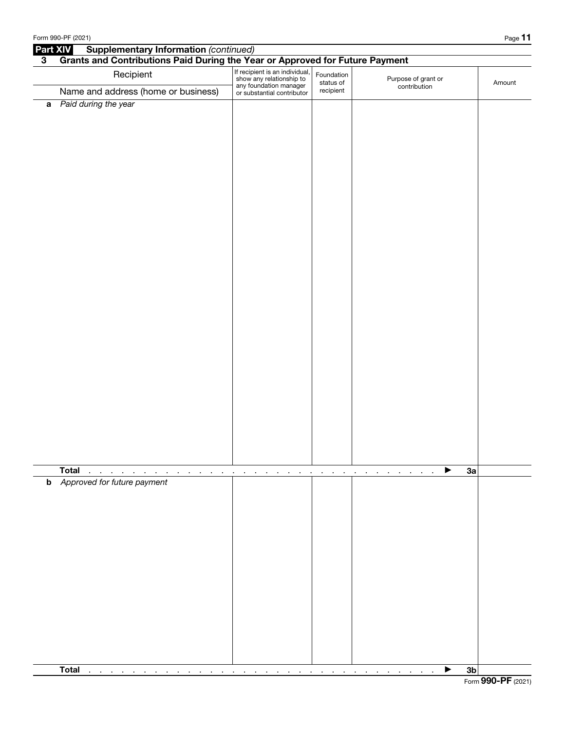| <b>Supplementary Information (continued)</b><br><b>Part XIV</b><br>Grants and Contributions Paid During the Year or Approved for Future Payment<br>$\mathbf{3}$<br>If recipient is an individual,<br>show any relationship to<br>Recipient<br>Foundation<br>Purpose of grant or<br>status of<br>Amount<br>any foundation manager<br>or substantial contributor<br>contribution<br>Name and address (home or business)<br>recipient<br>a Paid during the year<br><b>Total</b><br>3a<br>▶<br>and a state of the<br>$\sim$<br>$\mathbf{r}$<br>the company of the company<br>$\sim 100$ km s $^{-1}$<br>$\sim$<br>$\sim$<br>$\mathbf{r}$<br>$\blacksquare$<br>$\cdot$<br>$\cdot$<br>$\cdot$<br>$\mathbf{r}$<br>$\blacksquare$<br>$\blacksquare$<br><b>b</b> Approved for future payment<br>3 <sub>b</sub><br>$\sim$<br><b>Contract Contract</b><br><b>Contract</b><br>$\sim$<br>$\sim$<br>$\sim$<br>$\blacksquare$<br>$\sim$<br>$\sim$<br>$\sim$<br>$\sim$<br>$\sim$<br>$\sim$<br>$\sim$<br>$\mathcal{L}_{\mathbf{r}}$<br>$\sim$<br>$\blacksquare$<br>$\sim$ | Form 990-PF (2021)                                  |  | Page 11 |
|----------------------------------------------------------------------------------------------------------------------------------------------------------------------------------------------------------------------------------------------------------------------------------------------------------------------------------------------------------------------------------------------------------------------------------------------------------------------------------------------------------------------------------------------------------------------------------------------------------------------------------------------------------------------------------------------------------------------------------------------------------------------------------------------------------------------------------------------------------------------------------------------------------------------------------------------------------------------------------------------------------------------------------------------------------|-----------------------------------------------------|--|---------|
|                                                                                                                                                                                                                                                                                                                                                                                                                                                                                                                                                                                                                                                                                                                                                                                                                                                                                                                                                                                                                                                          |                                                     |  |         |
|                                                                                                                                                                                                                                                                                                                                                                                                                                                                                                                                                                                                                                                                                                                                                                                                                                                                                                                                                                                                                                                          |                                                     |  |         |
|                                                                                                                                                                                                                                                                                                                                                                                                                                                                                                                                                                                                                                                                                                                                                                                                                                                                                                                                                                                                                                                          |                                                     |  |         |
|                                                                                                                                                                                                                                                                                                                                                                                                                                                                                                                                                                                                                                                                                                                                                                                                                                                                                                                                                                                                                                                          |                                                     |  |         |
|                                                                                                                                                                                                                                                                                                                                                                                                                                                                                                                                                                                                                                                                                                                                                                                                                                                                                                                                                                                                                                                          |                                                     |  |         |
|                                                                                                                                                                                                                                                                                                                                                                                                                                                                                                                                                                                                                                                                                                                                                                                                                                                                                                                                                                                                                                                          |                                                     |  |         |
|                                                                                                                                                                                                                                                                                                                                                                                                                                                                                                                                                                                                                                                                                                                                                                                                                                                                                                                                                                                                                                                          |                                                     |  |         |
|                                                                                                                                                                                                                                                                                                                                                                                                                                                                                                                                                                                                                                                                                                                                                                                                                                                                                                                                                                                                                                                          |                                                     |  |         |
|                                                                                                                                                                                                                                                                                                                                                                                                                                                                                                                                                                                                                                                                                                                                                                                                                                                                                                                                                                                                                                                          | <b>Total</b><br>the contract of the contract of the |  |         |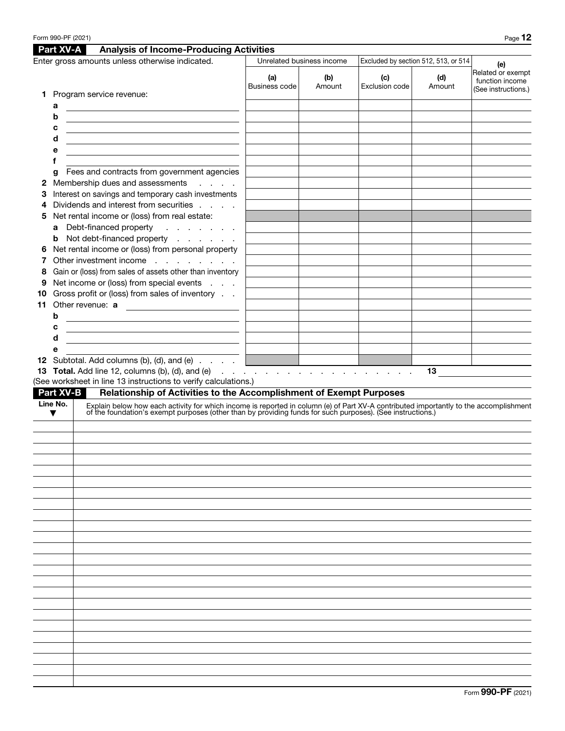|        | Form 990-PF (2021) |                                                                                                                                                                                                                                |                      |                           |                       |                                      | Page 12                                                     |
|--------|--------------------|--------------------------------------------------------------------------------------------------------------------------------------------------------------------------------------------------------------------------------|----------------------|---------------------------|-----------------------|--------------------------------------|-------------------------------------------------------------|
|        | Part XV-A          | <b>Analysis of Income-Producing Activities</b>                                                                                                                                                                                 |                      |                           |                       |                                      |                                                             |
|        |                    | Enter gross amounts unless otherwise indicated.                                                                                                                                                                                |                      | Unrelated business income |                       | Excluded by section 512, 513, or 514 | (e)                                                         |
|        |                    |                                                                                                                                                                                                                                | (a)<br>Business code | (b)<br>Amount             | (c)<br>Exclusion code | (d)<br>Amount                        | Related or exempt<br>function income<br>(See instructions.) |
| 1.     |                    | Program service revenue:                                                                                                                                                                                                       |                      |                           |                       |                                      |                                                             |
|        | a                  |                                                                                                                                                                                                                                |                      |                           |                       |                                      |                                                             |
|        | b                  | <u> 1989 - Johann John Stein, markin film yn y brening yn y brening yn y brening yn y brening y brening yn y bre</u>                                                                                                           |                      |                           |                       |                                      |                                                             |
|        | c                  | <u> 1989 - Johann Barn, mars ann an t-Amhain an t-Amhain an t-Amhain an t-Amhain an t-Amhain an t-Amhain an t-Amh</u>                                                                                                          |                      |                           |                       |                                      |                                                             |
|        | d                  |                                                                                                                                                                                                                                |                      |                           |                       |                                      |                                                             |
|        | е                  |                                                                                                                                                                                                                                |                      |                           |                       |                                      |                                                             |
|        | f                  |                                                                                                                                                                                                                                |                      |                           |                       |                                      |                                                             |
|        | g                  | Fees and contracts from government agencies<br>Membership dues and assessments                                                                                                                                                 |                      |                           |                       |                                      |                                                             |
| 2<br>З |                    | <b>Service State</b><br>Interest on savings and temporary cash investments                                                                                                                                                     |                      |                           |                       |                                      |                                                             |
| 4      |                    | Dividends and interest from securities                                                                                                                                                                                         |                      |                           |                       |                                      |                                                             |
| 5      |                    | Net rental income or (loss) from real estate:                                                                                                                                                                                  |                      |                           |                       |                                      |                                                             |
|        | a                  | Debt-financed property<br>$\mathcal{A}$ , we can also as $\mathcal{A}$                                                                                                                                                         |                      |                           |                       |                                      |                                                             |
|        | b                  | Not debt-financed property                                                                                                                                                                                                     |                      |                           |                       |                                      |                                                             |
| 6      |                    | Net rental income or (loss) from personal property                                                                                                                                                                             |                      |                           |                       |                                      |                                                             |
|        |                    | Other investment income                                                                                                                                                                                                        |                      |                           |                       |                                      |                                                             |
| 8      |                    | Gain or (loss) from sales of assets other than inventory                                                                                                                                                                       |                      |                           |                       |                                      |                                                             |
| 9      |                    | Net income or (loss) from special events                                                                                                                                                                                       |                      |                           |                       |                                      |                                                             |
| 10     |                    | Gross profit or (loss) from sales of inventory                                                                                                                                                                                 |                      |                           |                       |                                      |                                                             |
| 11     |                    | Other revenue: a                                                                                                                                                                                                               |                      |                           |                       |                                      |                                                             |
|        | b                  | the control of the control of the control of the control of the control of the control of                                                                                                                                      |                      |                           |                       |                                      |                                                             |
|        | с                  | <u> 1980 - Johann Barbara, martin amerikan ba</u>                                                                                                                                                                              |                      |                           |                       |                                      |                                                             |
|        | d                  | <u> 1989 - Johann John Stein, markin fan it ferstjer fan it ferstjer fan it ferstjer fan it ferstjer fan it fers</u>                                                                                                           |                      |                           |                       |                                      |                                                             |
|        | е                  |                                                                                                                                                                                                                                |                      |                           |                       |                                      |                                                             |
|        |                    | 12 Subtotal. Add columns (b), (d), and (e) $\ldots$ $\blacksquare$                                                                                                                                                             |                      |                           |                       |                                      |                                                             |
|        |                    |                                                                                                                                                                                                                                |                      |                           |                       | 13                                   |                                                             |
|        | <b>Part XV-B</b>   | (See worksheet in line 13 instructions to verify calculations.)<br>Relationship of Activities to the Accomplishment of Exempt Purposes                                                                                         |                      |                           |                       |                                      |                                                             |
|        | Line No.           |                                                                                                                                                                                                                                |                      |                           |                       |                                      |                                                             |
|        | ▼                  | Explain below how each activity for which income is reported in column (e) of Part XV-A contributed importantly to the accomplishment of the foundation's exempt purposes (other than by providing funds for such purposes). ( |                      |                           |                       |                                      |                                                             |
|        |                    |                                                                                                                                                                                                                                |                      |                           |                       |                                      |                                                             |
|        |                    |                                                                                                                                                                                                                                |                      |                           |                       |                                      |                                                             |
|        |                    |                                                                                                                                                                                                                                |                      |                           |                       |                                      |                                                             |
|        |                    |                                                                                                                                                                                                                                |                      |                           |                       |                                      |                                                             |
|        |                    |                                                                                                                                                                                                                                |                      |                           |                       |                                      |                                                             |
|        |                    |                                                                                                                                                                                                                                |                      |                           |                       |                                      |                                                             |
|        |                    |                                                                                                                                                                                                                                |                      |                           |                       |                                      |                                                             |
|        |                    |                                                                                                                                                                                                                                |                      |                           |                       |                                      |                                                             |
|        |                    |                                                                                                                                                                                                                                |                      |                           |                       |                                      |                                                             |
|        |                    |                                                                                                                                                                                                                                |                      |                           |                       |                                      |                                                             |
|        |                    |                                                                                                                                                                                                                                |                      |                           |                       |                                      |                                                             |
|        |                    |                                                                                                                                                                                                                                |                      |                           |                       |                                      |                                                             |
|        |                    |                                                                                                                                                                                                                                |                      |                           |                       |                                      |                                                             |
|        |                    |                                                                                                                                                                                                                                |                      |                           |                       |                                      |                                                             |
|        |                    |                                                                                                                                                                                                                                |                      |                           |                       |                                      |                                                             |
|        |                    |                                                                                                                                                                                                                                |                      |                           |                       |                                      |                                                             |
|        |                    |                                                                                                                                                                                                                                |                      |                           |                       |                                      |                                                             |
|        |                    |                                                                                                                                                                                                                                |                      |                           |                       |                                      |                                                             |
|        |                    |                                                                                                                                                                                                                                |                      |                           |                       |                                      |                                                             |
|        |                    |                                                                                                                                                                                                                                |                      |                           |                       |                                      |                                                             |
|        |                    |                                                                                                                                                                                                                                |                      |                           |                       |                                      |                                                             |
|        |                    |                                                                                                                                                                                                                                |                      |                           |                       |                                      |                                                             |
|        |                    |                                                                                                                                                                                                                                |                      |                           |                       |                                      |                                                             |